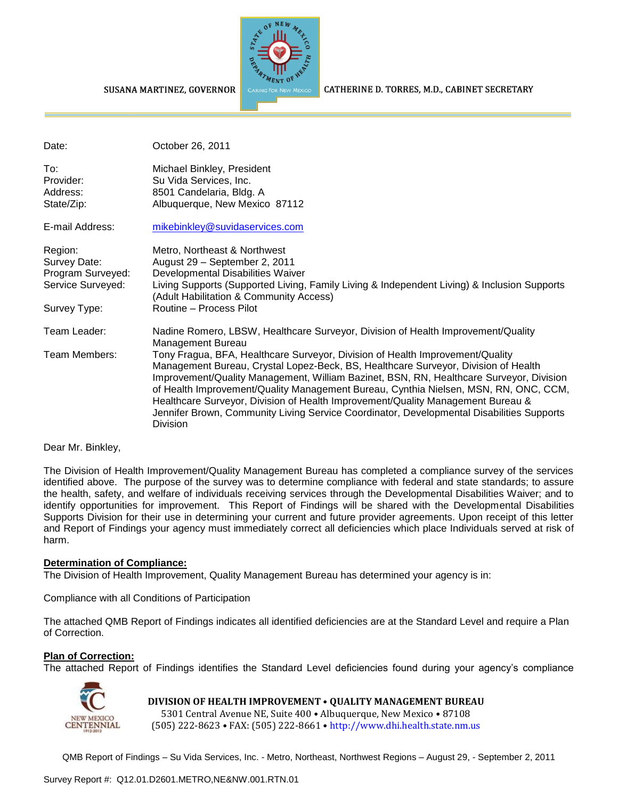

CATHERINE D. TORRES, M.D., CABINET SECRETARY

#### SUSANA MARTINEZ, GOVERNOR

| Date:                                                                             | October 26, 2011                                                                                                                                                                                                                                                                                                                                                                                                                                                                                                                                                        |
|-----------------------------------------------------------------------------------|-------------------------------------------------------------------------------------------------------------------------------------------------------------------------------------------------------------------------------------------------------------------------------------------------------------------------------------------------------------------------------------------------------------------------------------------------------------------------------------------------------------------------------------------------------------------------|
| To:<br>Provider:<br>Address:<br>State/Zip:                                        | Michael Binkley, President<br>Su Vida Services, Inc.<br>8501 Candelaria, Bldg. A<br>Albuquerque, New Mexico 87112                                                                                                                                                                                                                                                                                                                                                                                                                                                       |
| E-mail Address:                                                                   | mikebinkley@suvidaservices.com                                                                                                                                                                                                                                                                                                                                                                                                                                                                                                                                          |
| Region:<br>Survey Date:<br>Program Surveyed:<br>Service Surveyed:<br>Survey Type: | Metro, Northeast & Northwest<br>August 29 - September 2, 2011<br>Developmental Disabilities Waiver<br>Living Supports (Supported Living, Family Living & Independent Living) & Inclusion Supports<br>(Adult Habilitation & Community Access)<br>Routine - Process Pilot                                                                                                                                                                                                                                                                                                 |
| Team Leader:                                                                      | Nadine Romero, LBSW, Healthcare Surveyor, Division of Health Improvement/Quality                                                                                                                                                                                                                                                                                                                                                                                                                                                                                        |
| Team Members:                                                                     | Management Bureau<br>Tony Fragua, BFA, Healthcare Surveyor, Division of Health Improvement/Quality<br>Management Bureau, Crystal Lopez-Beck, BS, Healthcare Surveyor, Division of Health<br>Improvement/Quality Management, William Bazinet, BSN, RN, Healthcare Surveyor, Division<br>of Health Improvement/Quality Management Bureau, Cynthia Nielsen, MSN, RN, ONC, CCM,<br>Healthcare Surveyor, Division of Health Improvement/Quality Management Bureau &<br>Jennifer Brown, Community Living Service Coordinator, Developmental Disabilities Supports<br>Division |

#### Dear Mr. Binkley,

The Division of Health Improvement/Quality Management Bureau has completed a compliance survey of the services identified above. The purpose of the survey was to determine compliance with federal and state standards; to assure the health, safety, and welfare of individuals receiving services through the Developmental Disabilities Waiver; and to identify opportunities for improvement. This Report of Findings will be shared with the Developmental Disabilities Supports Division for their use in determining your current and future provider agreements. Upon receipt of this letter and Report of Findings your agency must immediately correct all deficiencies which place Individuals served at risk of harm.

#### **Determination of Compliance:**

The Division of Health Improvement, Quality Management Bureau has determined your agency is in:

Compliance with all Conditions of Participation

The attached QMB Report of Findings indicates all identified deficiencies are at the Standard Level and require a Plan of Correction.

#### **Plan of Correction:**

The attached Report of Findings identifies the Standard Level deficiencies found during your agency's compliance



**DIVISION OF HEALTH IMPROVEMENT** • **QUALITY MANAGEMENT BUREAU** 5301 Central Avenue NE, Suite 400 • Albuquerque, New Mexico • 87108 (505) 222-8623 • FAX: (505) 222-8661 • http://www.dhi.health.state.nm.us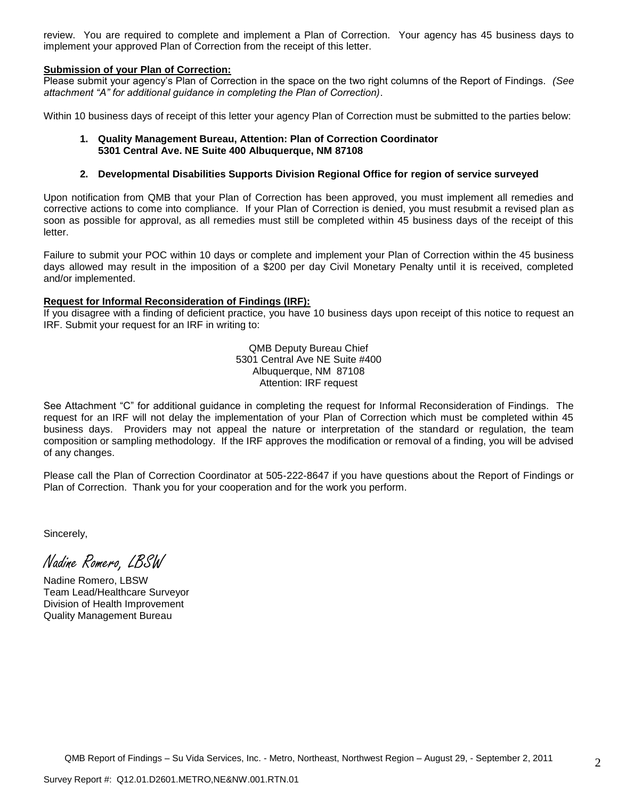review. You are required to complete and implement a Plan of Correction. Your agency has 45 business days to implement your approved Plan of Correction from the receipt of this letter.

#### **Submission of your Plan of Correction:**

Please submit your agency's Plan of Correction in the space on the two right columns of the Report of Findings. *(See attachment "A" for additional guidance in completing the Plan of Correction)*.

Within 10 business days of receipt of this letter your agency Plan of Correction must be submitted to the parties below:

#### **1. Quality Management Bureau, Attention: Plan of Correction Coordinator 5301 Central Ave. NE Suite 400 Albuquerque, NM 87108**

#### **2. Developmental Disabilities Supports Division Regional Office for region of service surveyed**

Upon notification from QMB that your Plan of Correction has been approved, you must implement all remedies and corrective actions to come into compliance. If your Plan of Correction is denied, you must resubmit a revised plan as soon as possible for approval, as all remedies must still be completed within 45 business days of the receipt of this letter.

Failure to submit your POC within 10 days or complete and implement your Plan of Correction within the 45 business days allowed may result in the imposition of a \$200 per day Civil Monetary Penalty until it is received, completed and/or implemented.

#### **Request for Informal Reconsideration of Findings (IRF):**

If you disagree with a finding of deficient practice, you have 10 business days upon receipt of this notice to request an IRF. Submit your request for an IRF in writing to:

> QMB Deputy Bureau Chief 5301 Central Ave NE Suite #400 Albuquerque, NM 87108 Attention: IRF request

See Attachment "C" for additional guidance in completing the request for Informal Reconsideration of Findings. The request for an IRF will not delay the implementation of your Plan of Correction which must be completed within 45 business days. Providers may not appeal the nature or interpretation of the standard or regulation, the team composition or sampling methodology. If the IRF approves the modification or removal of a finding, you will be advised of any changes.

Please call the Plan of Correction Coordinator at 505-222-8647 if you have questions about the Report of Findings or Plan of Correction. Thank you for your cooperation and for the work you perform.

Sincerely,

Nadine Romero, LBSW

Nadine Romero, LBSW Team Lead/Healthcare Surveyor Division of Health Improvement Quality Management Bureau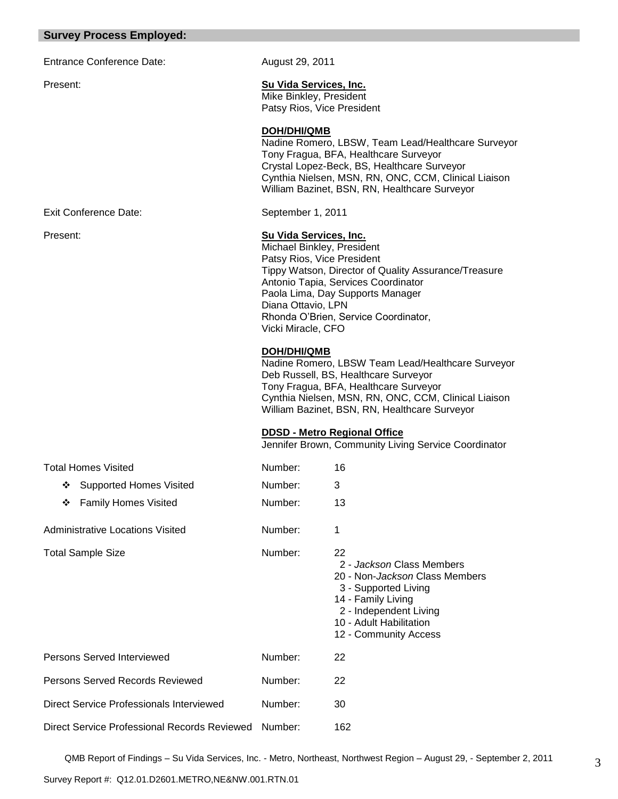### **Survey Process Employed:**

Entrance Conference Date: August 29, 2011

Exit Conference Date: September 1, 2011

### Present: **Su Vida Services, Inc.**

Mike Binkley, President Patsy Rios, Vice President

#### **DOH/DHI/QMB**

Nadine Romero, LBSW, Team Lead/Healthcare Surveyor Tony Fragua, BFA, Healthcare Surveyor Crystal Lopez-Beck, BS, Healthcare Surveyor Cynthia Nielsen, MSN, RN, ONC, CCM, Clinical Liaison William Bazinet, BSN, RN, Healthcare Surveyor

### Present: **Su Vida Services, Inc.**

Michael Binkley, President Patsy Rios, Vice President Tippy Watson, Director of Quality Assurance/Treasure Antonio Tapia, Services Coordinator Paola Lima, Day Supports Manager Diana Ottavio, LPN Rhonda O'Brien, Service Coordinator, Vicki Miracle, CFO

### **DOH/DHI/QMB**

Nadine Romero, LBSW Team Lead/Healthcare Surveyor Deb Russell, BS, Healthcare Surveyor Tony Fragua, BFA, Healthcare Surveyor Cynthia Nielsen, MSN, RN, ONC, CCM, Clinical Liaison William Bazinet, BSN, RN, Healthcare Surveyor

## **DDSD - Metro Regional Office**

Jennifer Brown, Community Living Service Coordinator

| <b>Total Homes Visited</b>                           | Number: | 16                                                                                                                                                                                            |
|------------------------------------------------------|---------|-----------------------------------------------------------------------------------------------------------------------------------------------------------------------------------------------|
| <b>Supported Homes Visited</b><br>❖                  | Number: | 3                                                                                                                                                                                             |
| <b>Family Homes Visited</b><br>❖                     | Number: | 13                                                                                                                                                                                            |
| <b>Administrative Locations Visited</b>              | Number: | 1                                                                                                                                                                                             |
| <b>Total Sample Size</b>                             | Number: | 22<br>2 - Jackson Class Members<br>20 - Non-Jackson Class Members<br>3 - Supported Living<br>14 - Family Living<br>2 - Independent Living<br>10 - Adult Habilitation<br>12 - Community Access |
| Persons Served Interviewed                           | Number: | 22                                                                                                                                                                                            |
| Persons Served Records Reviewed                      | Number: | 22                                                                                                                                                                                            |
| Direct Service Professionals Interviewed             | Number: | 30                                                                                                                                                                                            |
| Direct Service Professional Records Reviewed Number: |         | 162                                                                                                                                                                                           |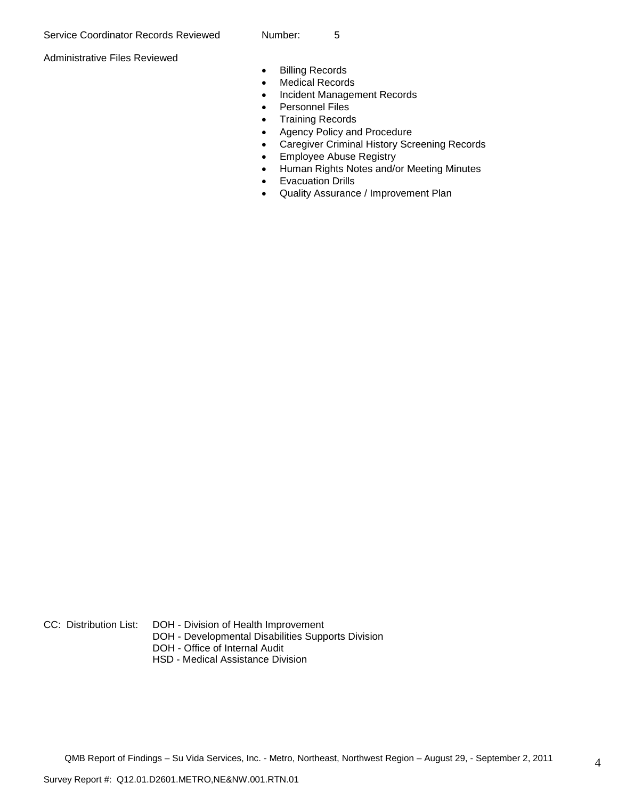Administrative Files Reviewed

- **•** Billing Records
- Medical Records
- Incident Management Records
- Personnel Files
- Training Records
- Agency Policy and Procedure
- Caregiver Criminal History Screening Records
- **Employee Abuse Registry**
- Human Rights Notes and/or Meeting Minutes
- Evacuation Drills
- Quality Assurance / Improvement Plan

- CC: Distribution List: DOH Division of Health Improvement
	- DOH Developmental Disabilities Supports Division
	- DOH Office of Internal Audit
	- HSD Medical Assistance Division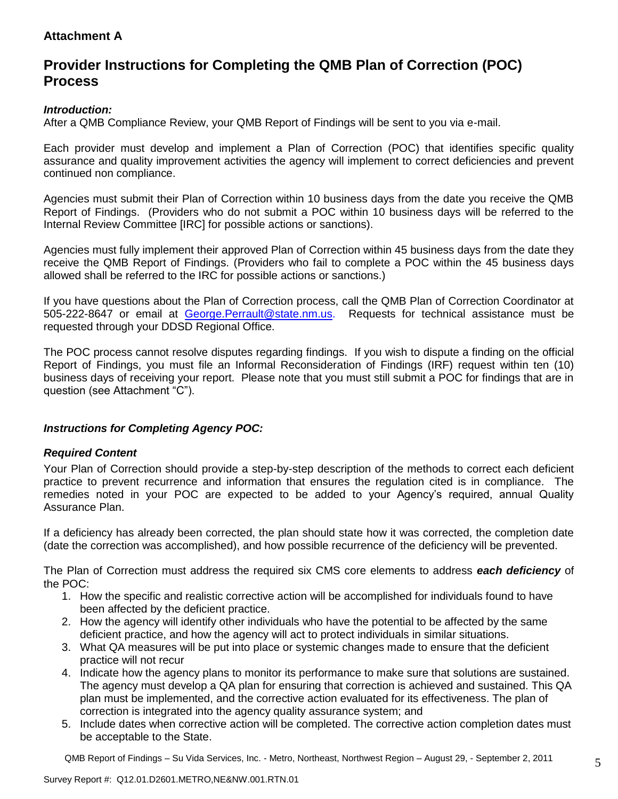# **Attachment A**

# **Provider Instructions for Completing the QMB Plan of Correction (POC) Process**

# *Introduction:*

After a QMB Compliance Review, your QMB Report of Findings will be sent to you via e-mail.

Each provider must develop and implement a Plan of Correction (POC) that identifies specific quality assurance and quality improvement activities the agency will implement to correct deficiencies and prevent continued non compliance.

Agencies must submit their Plan of Correction within 10 business days from the date you receive the QMB Report of Findings. (Providers who do not submit a POC within 10 business days will be referred to the Internal Review Committee [IRC] for possible actions or sanctions).

Agencies must fully implement their approved Plan of Correction within 45 business days from the date they receive the QMB Report of Findings. (Providers who fail to complete a POC within the 45 business days allowed shall be referred to the IRC for possible actions or sanctions.)

If you have questions about the Plan of Correction process, call the QMB Plan of Correction Coordinator at 505-222-8647 or email at George. Perrault@state.nm.us. Requests for technical assistance must be requested through your DDSD Regional Office.

The POC process cannot resolve disputes regarding findings. If you wish to dispute a finding on the official Report of Findings, you must file an Informal Reconsideration of Findings (IRF) request within ten (10) business days of receiving your report. Please note that you must still submit a POC for findings that are in question (see Attachment "C").

# *Instructions for Completing Agency POC:*

## *Required Content*

Your Plan of Correction should provide a step-by-step description of the methods to correct each deficient practice to prevent recurrence and information that ensures the regulation cited is in compliance. The remedies noted in your POC are expected to be added to your Agency's required, annual Quality Assurance Plan.

If a deficiency has already been corrected, the plan should state how it was corrected, the completion date (date the correction was accomplished), and how possible recurrence of the deficiency will be prevented.

The Plan of Correction must address the required six CMS core elements to address *each deficiency* of the POC:

- 1. How the specific and realistic corrective action will be accomplished for individuals found to have been affected by the deficient practice.
- 2. How the agency will identify other individuals who have the potential to be affected by the same deficient practice, and how the agency will act to protect individuals in similar situations.
- 3. What QA measures will be put into place or systemic changes made to ensure that the deficient practice will not recur
- 4. Indicate how the agency plans to monitor its performance to make sure that solutions are sustained. The agency must develop a QA plan for ensuring that correction is achieved and sustained. This QA plan must be implemented, and the corrective action evaluated for its effectiveness. The plan of correction is integrated into the agency quality assurance system; and
- 5. Include dates when corrective action will be completed. The corrective action completion dates must be acceptable to the State.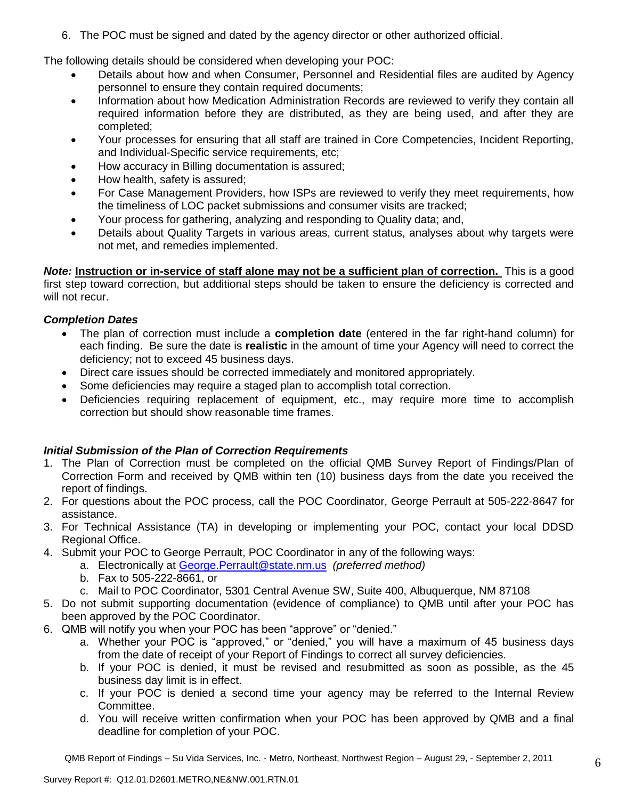6. The POC must be signed and dated by the agency director or other authorized official.

The following details should be considered when developing your POC:

- Details about how and when Consumer, Personnel and Residential files are audited by Agency personnel to ensure they contain required documents;
- Information about how Medication Administration Records are reviewed to verify they contain all required information before they are distributed, as they are being used, and after they are completed;
- Your processes for ensuring that all staff are trained in Core Competencies, Incident Reporting, and Individual-Specific service requirements, etc;
- How accuracy in Billing documentation is assured;
- How health, safety is assured;
- For Case Management Providers, how ISPs are reviewed to verify they meet requirements, how the timeliness of LOC packet submissions and consumer visits are tracked;
- Your process for gathering, analyzing and responding to Quality data; and,
- Details about Quality Targets in various areas, current status, analyses about why targets were not met, and remedies implemented.

*Note:* **Instruction or in-service of staff alone may not be a sufficient plan of correction.** This is a good first step toward correction, but additional steps should be taken to ensure the deficiency is corrected and will not recur.

# *Completion Dates*

- The plan of correction must include a **completion date** (entered in the far right-hand column) for each finding. Be sure the date is **realistic** in the amount of time your Agency will need to correct the deficiency; not to exceed 45 business days.
- Direct care issues should be corrected immediately and monitored appropriately.
- Some deficiencies may require a staged plan to accomplish total correction.
- Deficiencies requiring replacement of equipment, etc., may require more time to accomplish correction but should show reasonable time frames.

# *Initial Submission of the Plan of Correction Requirements*

- 1. The Plan of Correction must be completed on the official QMB Survey Report of Findings/Plan of Correction Form and received by QMB within ten (10) business days from the date you received the report of findings.
- 2. For questions about the POC process, call the POC Coordinator, George Perrault at 505-222-8647 for assistance.
- 3. For Technical Assistance (TA) in developing or implementing your POC, contact your local DDSD Regional Office.
- 4. Submit your POC to George Perrault, POC Coordinator in any of the following ways:
	- a. Electronically at [George.Perrault@state.nm.us](mailto:George.Perrault@state.nm.us) *(preferred method)*
	- b. Fax to 505-222-8661, or
	- c. Mail to POC Coordinator, 5301 Central Avenue SW, Suite 400, Albuquerque, NM 87108
- 5. Do not submit supporting documentation (evidence of compliance) to QMB until after your POC has been approved by the POC Coordinator.
- 6. QMB will notify you when your POC has been "approve" or "denied."
	- a. Whether your POC is "approved," or "denied," you will have a maximum of 45 business days from the date of receipt of your Report of Findings to correct all survey deficiencies.
	- b. If your POC is denied, it must be revised and resubmitted as soon as possible, as the 45 business day limit is in effect.
	- c. If your POC is denied a second time your agency may be referred to the Internal Review Committee.
	- d. You will receive written confirmation when your POC has been approved by QMB and a final deadline for completion of your POC.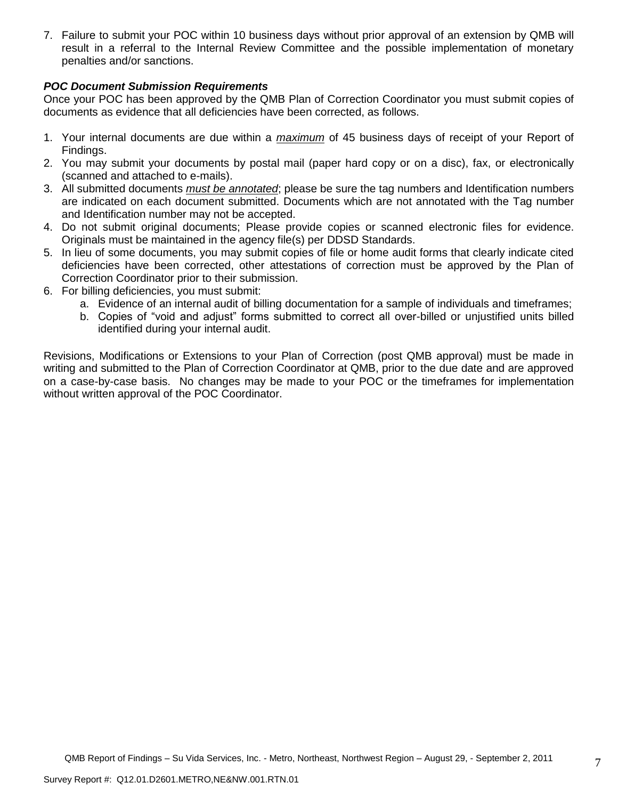7. Failure to submit your POC within 10 business days without prior approval of an extension by QMB will result in a referral to the Internal Review Committee and the possible implementation of monetary penalties and/or sanctions.

# *POC Document Submission Requirements*

Once your POC has been approved by the QMB Plan of Correction Coordinator you must submit copies of documents as evidence that all deficiencies have been corrected, as follows.

- 1. Your internal documents are due within a *maximum* of 45 business days of receipt of your Report of Findings.
- 2. You may submit your documents by postal mail (paper hard copy or on a disc), fax, or electronically (scanned and attached to e-mails).
- 3. All submitted documents *must be annotated*; please be sure the tag numbers and Identification numbers are indicated on each document submitted. Documents which are not annotated with the Tag number and Identification number may not be accepted.
- 4. Do not submit original documents; Please provide copies or scanned electronic files for evidence. Originals must be maintained in the agency file(s) per DDSD Standards.
- 5. In lieu of some documents, you may submit copies of file or home audit forms that clearly indicate cited deficiencies have been corrected, other attestations of correction must be approved by the Plan of Correction Coordinator prior to their submission.
- 6. For billing deficiencies, you must submit:
	- a. Evidence of an internal audit of billing documentation for a sample of individuals and timeframes;
	- b. Copies of "void and adjust" forms submitted to correct all over-billed or unjustified units billed identified during your internal audit.

Revisions, Modifications or Extensions to your Plan of Correction (post QMB approval) must be made in writing and submitted to the Plan of Correction Coordinator at QMB, prior to the due date and are approved on a case-by-case basis. No changes may be made to your POC or the timeframes for implementation without written approval of the POC Coordinator.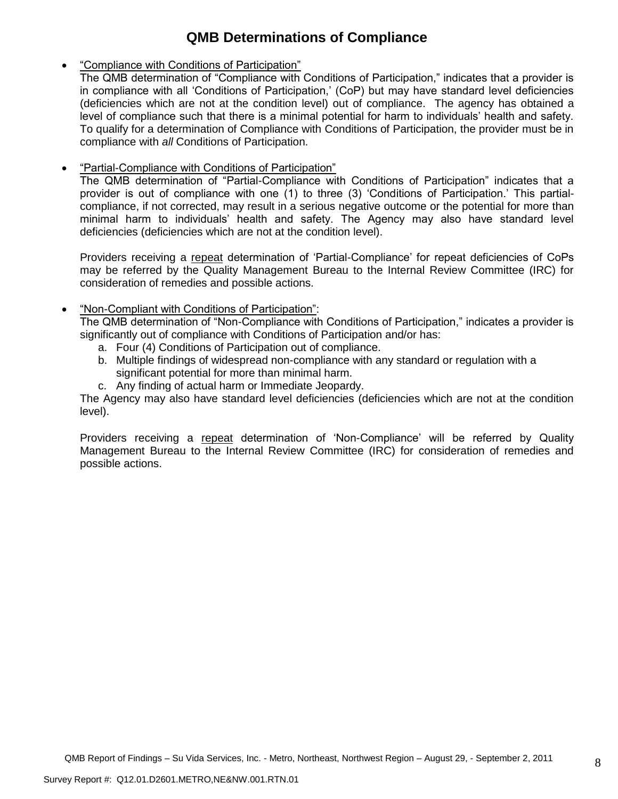# **QMB Determinations of Compliance**

- "Compliance with Conditions of Participation"
	- The QMB determination of "Compliance with Conditions of Participation," indicates that a provider is in compliance with all 'Conditions of Participation,' (CoP) but may have standard level deficiencies (deficiencies which are not at the condition level) out of compliance. The agency has obtained a level of compliance such that there is a minimal potential for harm to individuals' health and safety. To qualify for a determination of Compliance with Conditions of Participation, the provider must be in compliance with *all* Conditions of Participation.
- "Partial-Compliance with Conditions of Participation"

The QMB determination of "Partial-Compliance with Conditions of Participation" indicates that a provider is out of compliance with one (1) to three (3) 'Conditions of Participation.' This partialcompliance, if not corrected, may result in a serious negative outcome or the potential for more than minimal harm to individuals' health and safety. The Agency may also have standard level deficiencies (deficiencies which are not at the condition level).

Providers receiving a repeat determination of 'Partial-Compliance' for repeat deficiencies of CoPs may be referred by the Quality Management Bureau to the Internal Review Committee (IRC) for consideration of remedies and possible actions.

# "Non-Compliant with Conditions of Participation":

The QMB determination of "Non-Compliance with Conditions of Participation," indicates a provider is significantly out of compliance with Conditions of Participation and/or has:

- a. Four (4) Conditions of Participation out of compliance.
- b. Multiple findings of widespread non-compliance with any standard or regulation with a significant potential for more than minimal harm.
- c. Any finding of actual harm or Immediate Jeopardy.

The Agency may also have standard level deficiencies (deficiencies which are not at the condition level).

Providers receiving a repeat determination of 'Non-Compliance' will be referred by Quality Management Bureau to the Internal Review Committee (IRC) for consideration of remedies and possible actions.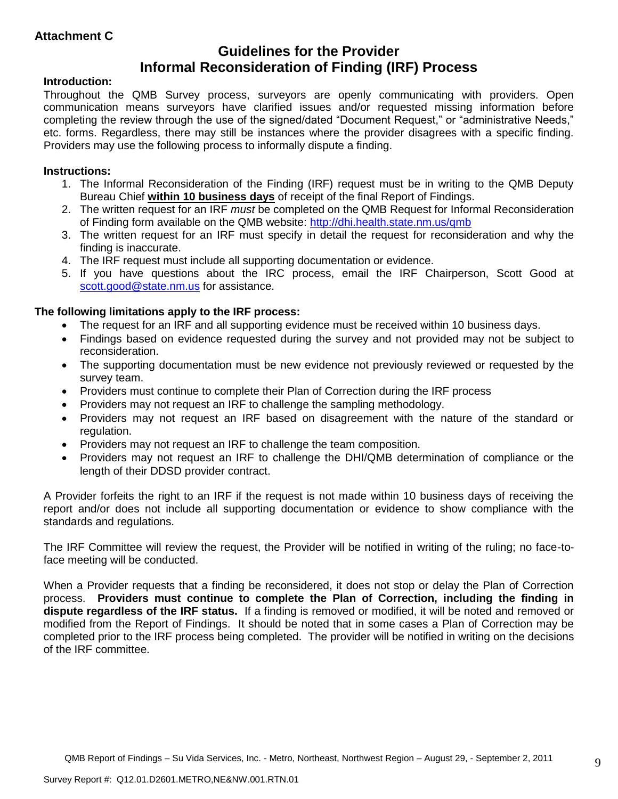# **Guidelines for the Provider Informal Reconsideration of Finding (IRF) Process**

# **Introduction:**

Throughout the QMB Survey process, surveyors are openly communicating with providers. Open communication means surveyors have clarified issues and/or requested missing information before completing the review through the use of the signed/dated "Document Request," or "administrative Needs," etc. forms. Regardless, there may still be instances where the provider disagrees with a specific finding. Providers may use the following process to informally dispute a finding.

# **Instructions:**

- 1. The Informal Reconsideration of the Finding (IRF) request must be in writing to the QMB Deputy Bureau Chief **within 10 business days** of receipt of the final Report of Findings.
- 2. The written request for an IRF *must* be completed on the QMB Request for Informal Reconsideration of Finding form available on the QMB website:<http://dhi.health.state.nm.us/qmb>
- 3. The written request for an IRF must specify in detail the request for reconsideration and why the finding is inaccurate.
- 4. The IRF request must include all supporting documentation or evidence.
- 5. If you have questions about the IRC process, email the IRF Chairperson, Scott Good at [scott.good@state.nm.us](mailto:scott.good@state.nm.us) for assistance.

# **The following limitations apply to the IRF process:**

- The request for an IRF and all supporting evidence must be received within 10 business days.
- Findings based on evidence requested during the survey and not provided may not be subject to reconsideration.
- The supporting documentation must be new evidence not previously reviewed or requested by the survey team.
- Providers must continue to complete their Plan of Correction during the IRF process
- Providers may not request an IRF to challenge the sampling methodology.
- Providers may not request an IRF based on disagreement with the nature of the standard or regulation.
- Providers may not request an IRF to challenge the team composition.
- Providers may not request an IRF to challenge the DHI/QMB determination of compliance or the length of their DDSD provider contract.

A Provider forfeits the right to an IRF if the request is not made within 10 business days of receiving the report and/or does not include all supporting documentation or evidence to show compliance with the standards and regulations.

The IRF Committee will review the request, the Provider will be notified in writing of the ruling; no face-toface meeting will be conducted.

When a Provider requests that a finding be reconsidered, it does not stop or delay the Plan of Correction process. **Providers must continue to complete the Plan of Correction, including the finding in dispute regardless of the IRF status.** If a finding is removed or modified, it will be noted and removed or modified from the Report of Findings. It should be noted that in some cases a Plan of Correction may be completed prior to the IRF process being completed. The provider will be notified in writing on the decisions of the IRF committee.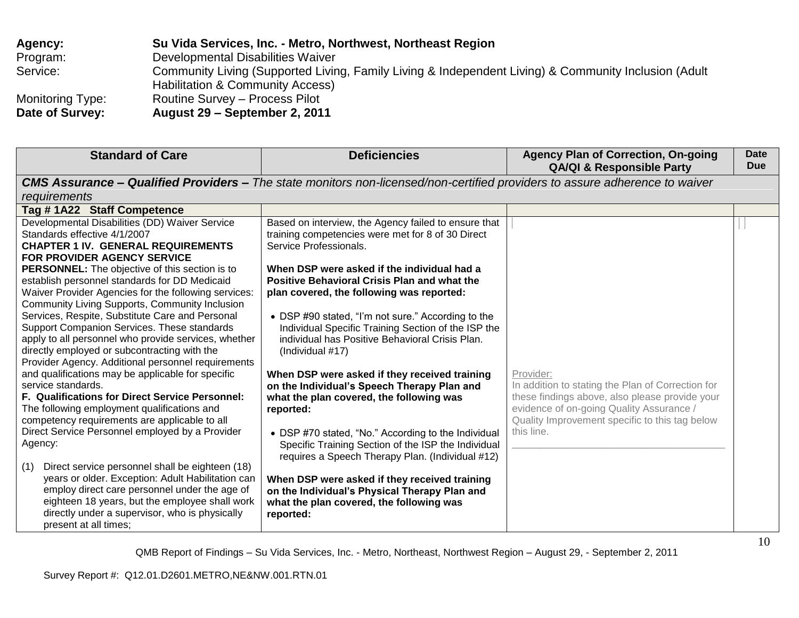| <b>Agency:</b>   | Su Vida Services, Inc. - Metro, Northwest, Northeast Region                                                                              |
|------------------|------------------------------------------------------------------------------------------------------------------------------------------|
| Program:         | Developmental Disabilities Waiver                                                                                                        |
| Service:         | Community Living (Supported Living, Family Living & Independent Living) & Community Inclusion (Adult<br>Habilitation & Community Access) |
| Monitoring Type: | Routine Survey – Process Pilot                                                                                                           |
| Date of Survey:  | August 29 – September 2, 2011                                                                                                            |

| <b>CMS Assurance – Qualified Providers –</b> The state monitors non-licensed/non-certified providers to assure adherence to waiver<br>requirements<br>Tag #1A22 Staff Competence<br>Developmental Disabilities (DD) Waiver Service<br>Based on interview, the Agency failed to ensure that<br>Standards effective 4/1/2007<br>training competencies were met for 8 of 30 Direct                                                                                                                                                                                                                                                                                                                                                                                                                                                                                                                                                                                                                                                                                                                                                                                                                                                                                                                                                                                                                                                                                                                                                                                                                                                                                                                                                                                                                                                                                                                                                                                                                                                                                                                                                                                              | <b>Standard of Care</b>                   | <b>Deficiencies</b>    | <b>Agency Plan of Correction, On-going</b><br><b>QA/QI &amp; Responsible Party</b> | <b>Date</b><br><b>Due</b> |
|------------------------------------------------------------------------------------------------------------------------------------------------------------------------------------------------------------------------------------------------------------------------------------------------------------------------------------------------------------------------------------------------------------------------------------------------------------------------------------------------------------------------------------------------------------------------------------------------------------------------------------------------------------------------------------------------------------------------------------------------------------------------------------------------------------------------------------------------------------------------------------------------------------------------------------------------------------------------------------------------------------------------------------------------------------------------------------------------------------------------------------------------------------------------------------------------------------------------------------------------------------------------------------------------------------------------------------------------------------------------------------------------------------------------------------------------------------------------------------------------------------------------------------------------------------------------------------------------------------------------------------------------------------------------------------------------------------------------------------------------------------------------------------------------------------------------------------------------------------------------------------------------------------------------------------------------------------------------------------------------------------------------------------------------------------------------------------------------------------------------------------------------------------------------------|-------------------------------------------|------------------------|------------------------------------------------------------------------------------|---------------------------|
|                                                                                                                                                                                                                                                                                                                                                                                                                                                                                                                                                                                                                                                                                                                                                                                                                                                                                                                                                                                                                                                                                                                                                                                                                                                                                                                                                                                                                                                                                                                                                                                                                                                                                                                                                                                                                                                                                                                                                                                                                                                                                                                                                                              |                                           |                        |                                                                                    |                           |
|                                                                                                                                                                                                                                                                                                                                                                                                                                                                                                                                                                                                                                                                                                                                                                                                                                                                                                                                                                                                                                                                                                                                                                                                                                                                                                                                                                                                                                                                                                                                                                                                                                                                                                                                                                                                                                                                                                                                                                                                                                                                                                                                                                              |                                           |                        |                                                                                    |                           |
|                                                                                                                                                                                                                                                                                                                                                                                                                                                                                                                                                                                                                                                                                                                                                                                                                                                                                                                                                                                                                                                                                                                                                                                                                                                                                                                                                                                                                                                                                                                                                                                                                                                                                                                                                                                                                                                                                                                                                                                                                                                                                                                                                                              |                                           |                        |                                                                                    |                           |
| <b>FOR PROVIDER AGENCY SERVICE</b><br>When DSP were asked if the individual had a<br><b>PERSONNEL:</b> The objective of this section is to<br>establish personnel standards for DD Medicaid<br><b>Positive Behavioral Crisis Plan and what the</b><br>Waiver Provider Agencies for the following services:<br>plan covered, the following was reported:<br>Community Living Supports, Community Inclusion<br>Services, Respite, Substitute Care and Personal<br>• DSP #90 stated, "I'm not sure." According to the<br>Support Companion Services. These standards<br>Individual Specific Training Section of the ISP the<br>apply to all personnel who provide services, whether<br>individual has Positive Behavioral Crisis Plan.<br>directly employed or subcontracting with the<br>(Individual #17)<br>Provider Agency. Additional personnel requirements<br>and qualifications may be applicable for specific<br>Provider:<br>When DSP were asked if they received training<br>In addition to stating the Plan of Correction for<br>service standards.<br>on the Individual's Speech Therapy Plan and<br>F. Qualifications for Direct Service Personnel:<br>these findings above, also please provide your<br>what the plan covered, the following was<br>evidence of on-going Quality Assurance /<br>The following employment qualifications and<br>reported:<br>Quality Improvement specific to this tag below<br>competency requirements are applicable to all<br>Direct Service Personnel employed by a Provider<br>this line.<br>• DSP #70 stated, "No." According to the Individual<br>Agency:<br>Specific Training Section of the ISP the Individual<br>requires a Speech Therapy Plan. (Individual #12)<br>Direct service personnel shall be eighteen (18)<br>(1)<br>years or older. Exception: Adult Habilitation can<br>When DSP were asked if they received training<br>employ direct care personnel under the age of<br>on the Individual's Physical Therapy Plan and<br>eighteen 18 years, but the employee shall work<br>what the plan covered, the following was<br>directly under a supervisor, who is physically<br>reported:<br>present at all times; | <b>CHAPTER 1 IV. GENERAL REQUIREMENTS</b> | Service Professionals. |                                                                                    |                           |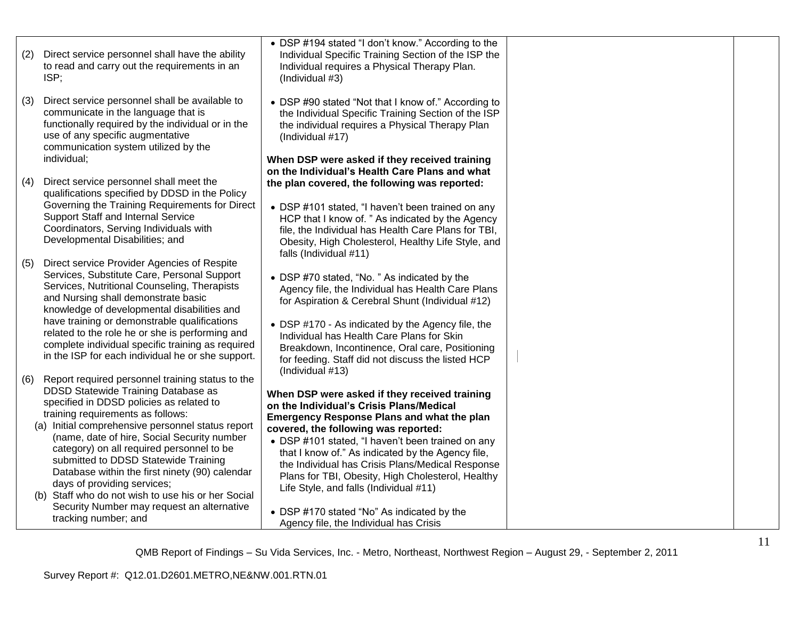| (2) | Direct service personnel shall have the ability<br>to read and carry out the requirements in an<br>ISP;                                                                                                                               | • DSP #194 stated "I don't know." According to the<br>Individual Specific Training Section of the ISP the<br>Individual requires a Physical Therapy Plan.<br>(Individual #3)                                                       |  |
|-----|---------------------------------------------------------------------------------------------------------------------------------------------------------------------------------------------------------------------------------------|------------------------------------------------------------------------------------------------------------------------------------------------------------------------------------------------------------------------------------|--|
| (3) | Direct service personnel shall be available to<br>communicate in the language that is<br>functionally required by the individual or in the<br>use of any specific augmentative<br>communication system utilized by the<br>individual; | • DSP #90 stated "Not that I know of." According to<br>the Individual Specific Training Section of the ISP<br>the individual requires a Physical Therapy Plan<br>(Individual #17)<br>When DSP were asked if they received training |  |
|     |                                                                                                                                                                                                                                       | on the Individual's Health Care Plans and what                                                                                                                                                                                     |  |
| (4) | Direct service personnel shall meet the                                                                                                                                                                                               | the plan covered, the following was reported:                                                                                                                                                                                      |  |
|     | qualifications specified by DDSD in the Policy                                                                                                                                                                                        |                                                                                                                                                                                                                                    |  |
|     | Governing the Training Requirements for Direct<br>Support Staff and Internal Service                                                                                                                                                  | • DSP #101 stated, "I haven't been trained on any                                                                                                                                                                                  |  |
|     | Coordinators, Serving Individuals with                                                                                                                                                                                                | HCP that I know of. " As indicated by the Agency<br>file, the Individual has Health Care Plans for TBI,                                                                                                                            |  |
|     | Developmental Disabilities; and                                                                                                                                                                                                       | Obesity, High Cholesterol, Healthy Life Style, and<br>falls (Individual #11)                                                                                                                                                       |  |
| (5) | Direct service Provider Agencies of Respite                                                                                                                                                                                           |                                                                                                                                                                                                                                    |  |
|     | Services, Substitute Care, Personal Support<br>Services, Nutritional Counseling, Therapists<br>and Nursing shall demonstrate basic<br>knowledge of developmental disabilities and                                                     | • DSP #70 stated, "No. " As indicated by the<br>Agency file, the Individual has Health Care Plans<br>for Aspiration & Cerebral Shunt (Individual #12)                                                                              |  |
|     | have training or demonstrable qualifications                                                                                                                                                                                          | • DSP #170 - As indicated by the Agency file, the                                                                                                                                                                                  |  |
|     | related to the role he or she is performing and                                                                                                                                                                                       | Individual has Health Care Plans for Skin                                                                                                                                                                                          |  |
|     | complete individual specific training as required<br>in the ISP for each individual he or she support.                                                                                                                                | Breakdown, Incontinence, Oral care, Positioning<br>for feeding. Staff did not discuss the listed HCP                                                                                                                               |  |
| (6) | Report required personnel training status to the                                                                                                                                                                                      | (Individual #13)                                                                                                                                                                                                                   |  |
|     | DDSD Statewide Training Database as                                                                                                                                                                                                   | When DSP were asked if they received training                                                                                                                                                                                      |  |
|     | specified in DDSD policies as related to                                                                                                                                                                                              | on the Individual's Crisis Plans/Medical                                                                                                                                                                                           |  |
|     | training requirements as follows:<br>(a) Initial comprehensive personnel status report                                                                                                                                                | <b>Emergency Response Plans and what the plan</b>                                                                                                                                                                                  |  |
|     | (name, date of hire, Social Security number                                                                                                                                                                                           | covered, the following was reported:<br>• DSP #101 stated, "I haven't been trained on any                                                                                                                                          |  |
|     | category) on all required personnel to be                                                                                                                                                                                             | that I know of." As indicated by the Agency file,                                                                                                                                                                                  |  |
|     | submitted to DDSD Statewide Training<br>Database within the first ninety (90) calendar                                                                                                                                                | the Individual has Crisis Plans/Medical Response                                                                                                                                                                                   |  |
|     | days of providing services;                                                                                                                                                                                                           | Plans for TBI, Obesity, High Cholesterol, Healthy<br>Life Style, and falls (Individual #11)                                                                                                                                        |  |
|     | (b) Staff who do not wish to use his or her Social                                                                                                                                                                                    |                                                                                                                                                                                                                                    |  |
|     | Security Number may request an alternative<br>tracking number; and                                                                                                                                                                    | • DSP #170 stated "No" As indicated by the<br>Agency file, the Individual has Crisis                                                                                                                                               |  |
|     |                                                                                                                                                                                                                                       |                                                                                                                                                                                                                                    |  |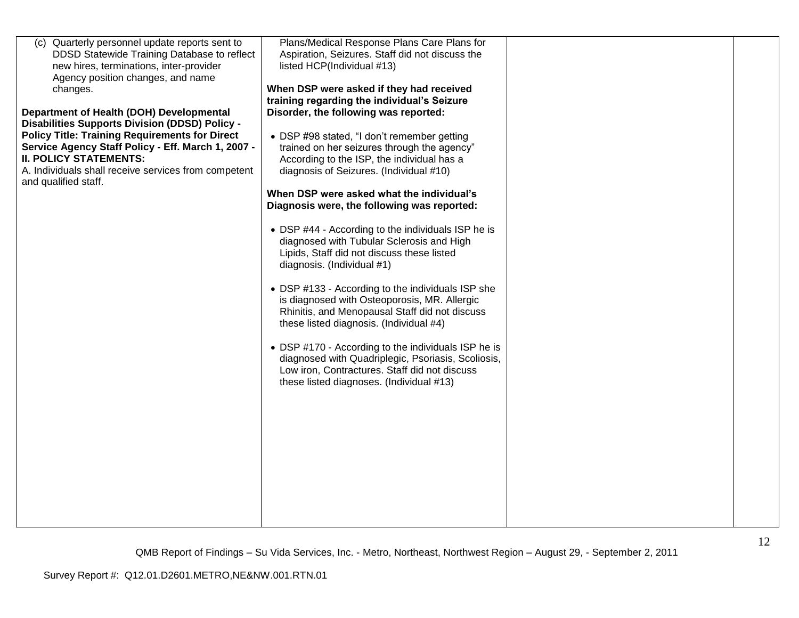| Plans/Medical Response Plans Care Plans for<br>Quarterly personnel update reports sent to<br>(C)<br>DDSD Statewide Training Database to reflect<br>Aspiration, Seizures. Staff did not discuss the<br>new hires, terminations, inter-provider<br>listed HCP(Individual #13)<br>Agency position changes, and name<br>When DSP were asked if they had received<br>changes.<br>training regarding the individual's Seizure<br>Disorder, the following was reported:<br>Department of Health (DOH) Developmental<br><b>Disabilities Supports Division (DDSD) Policy -</b><br><b>Policy Title: Training Requirements for Direct</b><br>• DSP #98 stated, "I don't remember getting<br>Service Agency Staff Policy - Eff. March 1, 2007 -<br>trained on her seizures through the agency"<br><b>II. POLICY STATEMENTS:</b><br>According to the ISP, the individual has a<br>A. Individuals shall receive services from competent<br>diagnosis of Seizures. (Individual #10)<br>and qualified staff.<br>When DSP were asked what the individual's<br>Diagnosis were, the following was reported:<br>• DSP #44 - According to the individuals ISP he is<br>diagnosed with Tubular Sclerosis and High<br>Lipids, Staff did not discuss these listed<br>diagnosis. (Individual #1)<br>• DSP #133 - According to the individuals ISP she<br>is diagnosed with Osteoporosis, MR. Allergic<br>Rhinitis, and Menopausal Staff did not discuss<br>these listed diagnosis. (Individual #4)<br>• DSP #170 - According to the individuals ISP he is<br>diagnosed with Quadriplegic, Psoriasis, Scoliosis,<br>Low iron, Contractures. Staff did not discuss<br>these listed diagnoses. (Individual #13) |
|-------------------------------------------------------------------------------------------------------------------------------------------------------------------------------------------------------------------------------------------------------------------------------------------------------------------------------------------------------------------------------------------------------------------------------------------------------------------------------------------------------------------------------------------------------------------------------------------------------------------------------------------------------------------------------------------------------------------------------------------------------------------------------------------------------------------------------------------------------------------------------------------------------------------------------------------------------------------------------------------------------------------------------------------------------------------------------------------------------------------------------------------------------------------------------------------------------------------------------------------------------------------------------------------------------------------------------------------------------------------------------------------------------------------------------------------------------------------------------------------------------------------------------------------------------------------------------------------------------------------------------------------------------------------------------------|
|                                                                                                                                                                                                                                                                                                                                                                                                                                                                                                                                                                                                                                                                                                                                                                                                                                                                                                                                                                                                                                                                                                                                                                                                                                                                                                                                                                                                                                                                                                                                                                                                                                                                                     |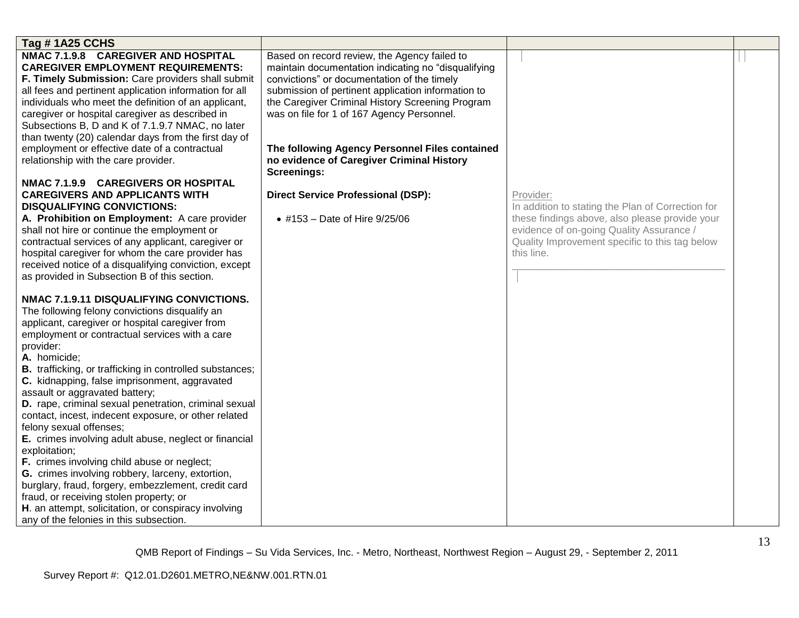| Tag #1A25 CCHS                                                                                                                                                                                                                                                                                                                                                                                                                                                                                                                                                                                                                                                                                                                                                                                                                                                                                                                                             |                                                                                                                                                                                                                                                                                                                                                                                                                                                                                                               |                                                                                                                                                                                                                              |  |
|------------------------------------------------------------------------------------------------------------------------------------------------------------------------------------------------------------------------------------------------------------------------------------------------------------------------------------------------------------------------------------------------------------------------------------------------------------------------------------------------------------------------------------------------------------------------------------------------------------------------------------------------------------------------------------------------------------------------------------------------------------------------------------------------------------------------------------------------------------------------------------------------------------------------------------------------------------|---------------------------------------------------------------------------------------------------------------------------------------------------------------------------------------------------------------------------------------------------------------------------------------------------------------------------------------------------------------------------------------------------------------------------------------------------------------------------------------------------------------|------------------------------------------------------------------------------------------------------------------------------------------------------------------------------------------------------------------------------|--|
| NMAC 7.1.9.8 CAREGIVER AND HOSPITAL<br><b>CAREGIVER EMPLOYMENT REQUIREMENTS:</b><br>F. Timely Submission: Care providers shall submit<br>all fees and pertinent application information for all<br>individuals who meet the definition of an applicant,<br>caregiver or hospital caregiver as described in<br>Subsections B, D and K of 7.1.9.7 NMAC, no later<br>than twenty (20) calendar days from the first day of<br>employment or effective date of a contractual<br>relationship with the care provider.<br>NMAC 7.1.9.9 CAREGIVERS OR HOSPITAL<br><b>CAREGIVERS AND APPLICANTS WITH</b><br><b>DISQUALIFYING CONVICTIONS:</b><br>A. Prohibition on Employment: A care provider<br>shall not hire or continue the employment or<br>contractual services of any applicant, caregiver or<br>hospital caregiver for whom the care provider has<br>received notice of a disqualifying conviction, except<br>as provided in Subsection B of this section. | Based on record review, the Agency failed to<br>maintain documentation indicating no "disqualifying<br>convictions" or documentation of the timely<br>submission of pertinent application information to<br>the Caregiver Criminal History Screening Program<br>was on file for 1 of 167 Agency Personnel.<br>The following Agency Personnel Files contained<br>no evidence of Caregiver Criminal History<br><b>Screenings:</b><br><b>Direct Service Professional (DSP):</b><br>• #153 - Date of Hire 9/25/06 | Provider:<br>In addition to stating the Plan of Correction for<br>these findings above, also please provide your<br>evidence of on-going Quality Assurance /<br>Quality Improvement specific to this tag below<br>this line. |  |
| NMAC 7.1.9.11 DISQUALIFYING CONVICTIONS.<br>The following felony convictions disqualify an<br>applicant, caregiver or hospital caregiver from<br>employment or contractual services with a care<br>provider:<br>A. homicide;<br><b>B.</b> trafficking, or trafficking in controlled substances;<br>C. kidnapping, false imprisonment, aggravated<br>assault or aggravated battery;<br>D. rape, criminal sexual penetration, criminal sexual<br>contact, incest, indecent exposure, or other related<br>felony sexual offenses;<br>E. crimes involving adult abuse, neglect or financial<br>exploitation;<br>F. crimes involving child abuse or neglect;<br>G. crimes involving robbery, larceny, extortion,<br>burglary, fraud, forgery, embezzlement, credit card<br>fraud, or receiving stolen property; or<br>H. an attempt, solicitation, or conspiracy involving<br>any of the felonies in this subsection.                                           |                                                                                                                                                                                                                                                                                                                                                                                                                                                                                                               |                                                                                                                                                                                                                              |  |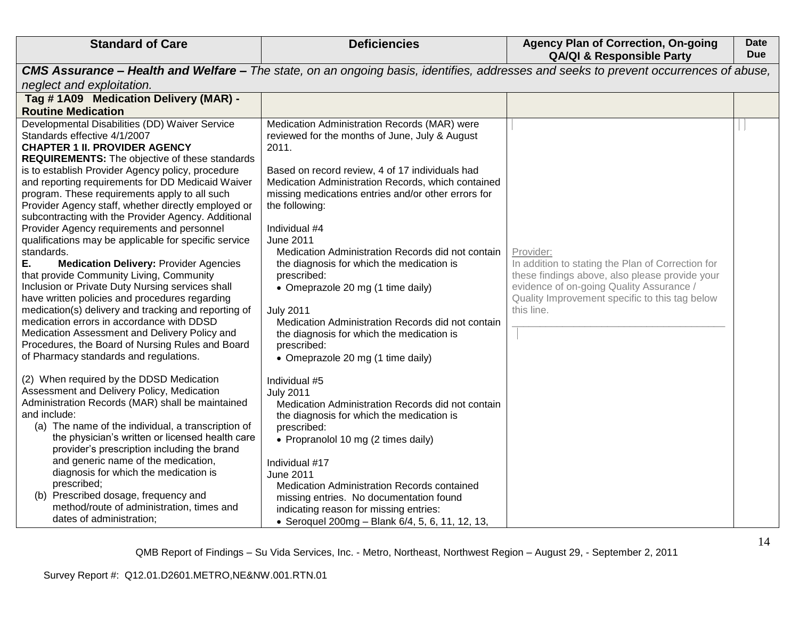| <b>Standard of Care</b>                                                                                                                                                                                                                                                                                                                                                                                                                                                                                                                                                                                                                                                                                                                                                                                                                                                                                                                                                                          | <b>Deficiencies</b>                                                                                                                                                                                                                                                                                                                                                                                                                                                                                                                                                                                                | <b>Agency Plan of Correction, On-going</b><br><b>QA/QI &amp; Responsible Party</b>                                                                                                                                           | <b>Date</b><br><b>Due</b> |
|--------------------------------------------------------------------------------------------------------------------------------------------------------------------------------------------------------------------------------------------------------------------------------------------------------------------------------------------------------------------------------------------------------------------------------------------------------------------------------------------------------------------------------------------------------------------------------------------------------------------------------------------------------------------------------------------------------------------------------------------------------------------------------------------------------------------------------------------------------------------------------------------------------------------------------------------------------------------------------------------------|--------------------------------------------------------------------------------------------------------------------------------------------------------------------------------------------------------------------------------------------------------------------------------------------------------------------------------------------------------------------------------------------------------------------------------------------------------------------------------------------------------------------------------------------------------------------------------------------------------------------|------------------------------------------------------------------------------------------------------------------------------------------------------------------------------------------------------------------------------|---------------------------|
|                                                                                                                                                                                                                                                                                                                                                                                                                                                                                                                                                                                                                                                                                                                                                                                                                                                                                                                                                                                                  | <b>CMS Assurance – Health and Welfare –</b> The state, on an ongoing basis, identifies, addresses and seeks to prevent occurrences of abuse,                                                                                                                                                                                                                                                                                                                                                                                                                                                                       |                                                                                                                                                                                                                              |                           |
| neglect and exploitation.                                                                                                                                                                                                                                                                                                                                                                                                                                                                                                                                                                                                                                                                                                                                                                                                                                                                                                                                                                        |                                                                                                                                                                                                                                                                                                                                                                                                                                                                                                                                                                                                                    |                                                                                                                                                                                                                              |                           |
| Tag #1A09 Medication Delivery (MAR) -                                                                                                                                                                                                                                                                                                                                                                                                                                                                                                                                                                                                                                                                                                                                                                                                                                                                                                                                                            |                                                                                                                                                                                                                                                                                                                                                                                                                                                                                                                                                                                                                    |                                                                                                                                                                                                                              |                           |
| <b>Routine Medication</b>                                                                                                                                                                                                                                                                                                                                                                                                                                                                                                                                                                                                                                                                                                                                                                                                                                                                                                                                                                        |                                                                                                                                                                                                                                                                                                                                                                                                                                                                                                                                                                                                                    |                                                                                                                                                                                                                              |                           |
| Developmental Disabilities (DD) Waiver Service<br>Standards effective 4/1/2007<br><b>CHAPTER 1 II. PROVIDER AGENCY</b><br><b>REQUIREMENTS:</b> The objective of these standards<br>is to establish Provider Agency policy, procedure<br>and reporting requirements for DD Medicaid Waiver<br>program. These requirements apply to all such<br>Provider Agency staff, whether directly employed or<br>subcontracting with the Provider Agency. Additional<br>Provider Agency requirements and personnel<br>qualifications may be applicable for specific service<br>standards.<br>Е.<br><b>Medication Delivery: Provider Agencies</b><br>that provide Community Living, Community<br>Inclusion or Private Duty Nursing services shall<br>have written policies and procedures regarding<br>medication(s) delivery and tracking and reporting of<br>medication errors in accordance with DDSD<br>Medication Assessment and Delivery Policy and<br>Procedures, the Board of Nursing Rules and Board | Medication Administration Records (MAR) were<br>reviewed for the months of June, July & August<br>2011.<br>Based on record review, 4 of 17 individuals had<br>Medication Administration Records, which contained<br>missing medications entries and/or other errors for<br>the following:<br>Individual #4<br>June 2011<br>Medication Administration Records did not contain<br>the diagnosis for which the medication is<br>prescribed:<br>• Omeprazole 20 mg (1 time daily)<br><b>July 2011</b><br>Medication Administration Records did not contain<br>the diagnosis for which the medication is<br>prescribed: | Provider:<br>In addition to stating the Plan of Correction for<br>these findings above, also please provide your<br>evidence of on-going Quality Assurance /<br>Quality Improvement specific to this tag below<br>this line. |                           |
| of Pharmacy standards and regulations.<br>(2) When required by the DDSD Medication<br>Assessment and Delivery Policy, Medication<br>Administration Records (MAR) shall be maintained<br>and include:<br>(a) The name of the individual, a transcription of<br>the physician's written or licensed health care<br>provider's prescription including the brand<br>and generic name of the medication,<br>diagnosis for which the medication is<br>prescribed;<br>(b) Prescribed dosage, frequency and<br>method/route of administration, times and<br>dates of administration;                                                                                                                                                                                                                                                                                                                                                                                                                     | • Omeprazole 20 mg (1 time daily)<br>Individual #5<br><b>July 2011</b><br>Medication Administration Records did not contain<br>the diagnosis for which the medication is<br>prescribed:<br>• Propranolol 10 mg (2 times daily)<br>Individual #17<br>June 2011<br>Medication Administration Records contained<br>missing entries. No documentation found<br>indicating reason for missing entries:<br>• Seroquel 200mg - Blank 6/4, 5, 6, 11, 12, 13,                                                                                                                                                               |                                                                                                                                                                                                                              |                           |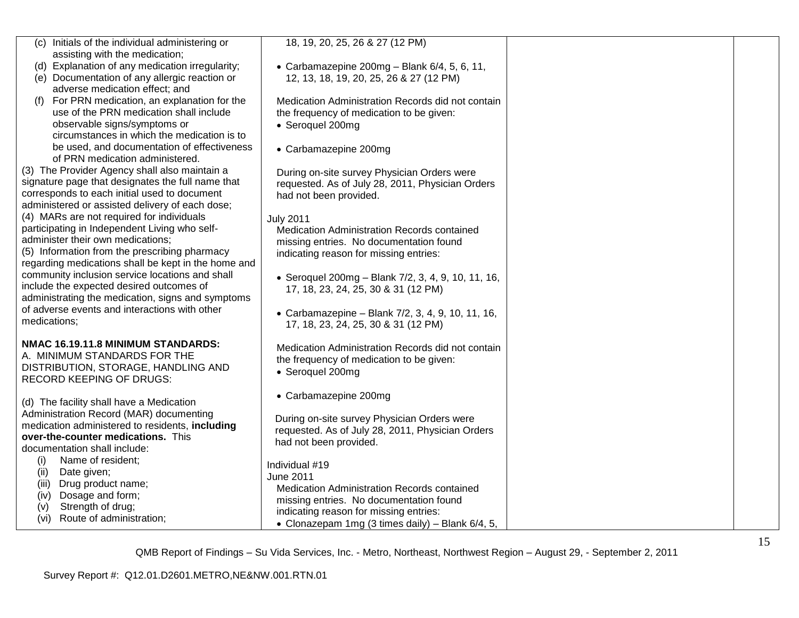| (c) Initials of the individual administering or<br>assisting with the medication;                    | 18, 19, 20, 25, 26 & 27 (12 PM)                                                                 |  |
|------------------------------------------------------------------------------------------------------|-------------------------------------------------------------------------------------------------|--|
| (d) Explanation of any medication irregularity;                                                      | • Carbamazepine 200mg - Blank $6/4$ , 5, 6, 11,                                                 |  |
| (e) Documentation of any allergic reaction or                                                        | 12, 13, 18, 19, 20, 25, 26 & 27 (12 PM)                                                         |  |
| adverse medication effect; and                                                                       |                                                                                                 |  |
| For PRN medication, an explanation for the                                                           | Medication Administration Records did not contain                                               |  |
| use of the PRN medication shall include                                                              | the frequency of medication to be given:                                                        |  |
| observable signs/symptoms or<br>circumstances in which the medication is to                          | • Seroquel 200mg                                                                                |  |
| be used, and documentation of effectiveness                                                          |                                                                                                 |  |
| of PRN medication administered.                                                                      | • Carbamazepine 200mg                                                                           |  |
| (3) The Provider Agency shall also maintain a                                                        | During on-site survey Physician Orders were                                                     |  |
| signature page that designates the full name that                                                    | requested. As of July 28, 2011, Physician Orders                                                |  |
| corresponds to each initial used to document                                                         | had not been provided.                                                                          |  |
| administered or assisted delivery of each dose;                                                      |                                                                                                 |  |
| (4) MARs are not required for individuals                                                            | <b>July 2011</b>                                                                                |  |
| participating in Independent Living who self-                                                        | Medication Administration Records contained                                                     |  |
| administer their own medications;                                                                    | missing entries. No documentation found                                                         |  |
| (5) Information from the prescribing pharmacy<br>regarding medications shall be kept in the home and | indicating reason for missing entries:                                                          |  |
| community inclusion service locations and shall                                                      |                                                                                                 |  |
| include the expected desired outcomes of                                                             | • Seroquel 200mg - Blank 7/2, 3, 4, 9, 10, 11, 16,<br>17, 18, 23, 24, 25, 30 & 31 (12 PM)       |  |
| administrating the medication, signs and symptoms                                                    |                                                                                                 |  |
| of adverse events and interactions with other                                                        | • Carbamazepine - Blank 7/2, 3, 4, 9, 10, 11, 16,                                               |  |
| medications;                                                                                         | 17, 18, 23, 24, 25, 30 & 31 (12 PM)                                                             |  |
|                                                                                                      |                                                                                                 |  |
| NMAC 16.19.11.8 MINIMUM STANDARDS:                                                                   | Medication Administration Records did not contain                                               |  |
| A. MINIMUM STANDARDS FOR THE                                                                         | the frequency of medication to be given:                                                        |  |
| DISTRIBUTION, STORAGE, HANDLING AND<br><b>RECORD KEEPING OF DRUGS:</b>                               | • Seroquel 200mg                                                                                |  |
|                                                                                                      |                                                                                                 |  |
| (d) The facility shall have a Medication                                                             | • Carbamazepine 200mg                                                                           |  |
| Administration Record (MAR) documenting                                                              |                                                                                                 |  |
| medication administered to residents, including                                                      | During on-site survey Physician Orders were<br>requested. As of July 28, 2011, Physician Orders |  |
| over-the-counter medications. This                                                                   | had not been provided.                                                                          |  |
| documentation shall include:                                                                         |                                                                                                 |  |
| Name of resident;<br>(i)                                                                             | Individual #19                                                                                  |  |
| Date given;<br>(ii)                                                                                  | June 2011                                                                                       |  |
| Drug product name;<br>(iii)                                                                          | Medication Administration Records contained                                                     |  |
| Dosage and form;<br>(iv)<br>Strength of drug;<br>(v)                                                 | missing entries. No documentation found                                                         |  |
| Route of administration;<br>(vi)                                                                     | indicating reason for missing entries:                                                          |  |
|                                                                                                      | • Clonazepam 1mg (3 times daily) - Blank 6/4, 5,                                                |  |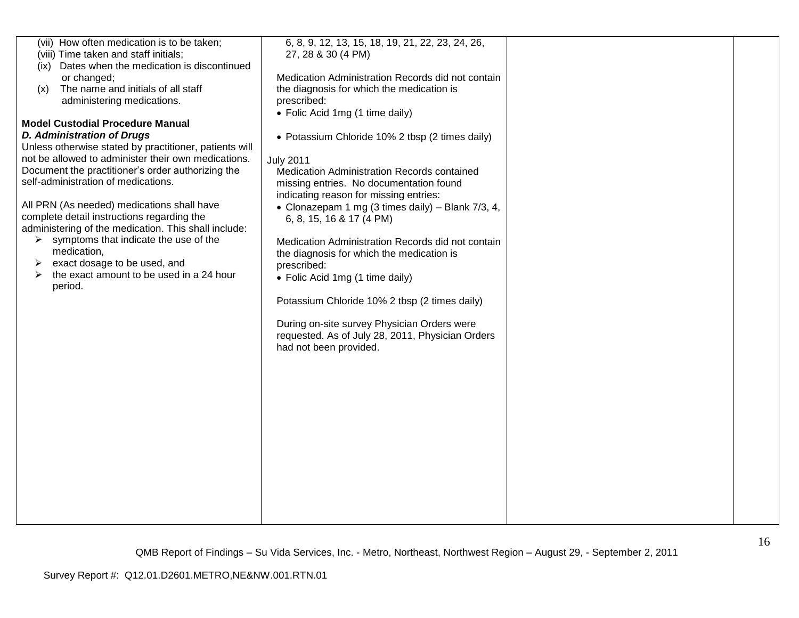| (vii) How often medication is to be taken;<br>(viii) Time taken and staff initials; | 6, 8, 9, 12, 13, 15, 18, 19, 21, 22, 23, 24, 26,<br>27, 28 & 30 (4 PM) |  |
|-------------------------------------------------------------------------------------|------------------------------------------------------------------------|--|
|                                                                                     |                                                                        |  |
| Dates when the medication is discontinued<br>(ix)                                   |                                                                        |  |
| or changed;                                                                         | Medication Administration Records did not contain                      |  |
| The name and initials of all staff<br>(x)                                           | the diagnosis for which the medication is                              |  |
| administering medications.                                                          | prescribed:                                                            |  |
|                                                                                     | • Folic Acid 1mg (1 time daily)                                        |  |
| <b>Model Custodial Procedure Manual</b>                                             |                                                                        |  |
| <b>D. Administration of Drugs</b>                                                   | • Potassium Chloride 10% 2 tbsp (2 times daily)                        |  |
| Unless otherwise stated by practitioner, patients will                              |                                                                        |  |
| not be allowed to administer their own medications.                                 |                                                                        |  |
|                                                                                     | <b>July 2011</b>                                                       |  |
| Document the practitioner's order authorizing the                                   | Medication Administration Records contained                            |  |
| self-administration of medications.                                                 | missing entries. No documentation found                                |  |
|                                                                                     | indicating reason for missing entries:                                 |  |
| All PRN (As needed) medications shall have                                          | • Clonazepam 1 mg (3 times daily) – Blank $7/3$ , 4,                   |  |
| complete detail instructions regarding the                                          | 6, 8, 15, 16 & 17 (4 PM)                                               |  |
| administering of the medication. This shall include:                                |                                                                        |  |
| symptoms that indicate the use of the<br>➤                                          | Medication Administration Records did not contain                      |  |
| medication,                                                                         | the diagnosis for which the medication is                              |  |
| exact dosage to be used, and                                                        |                                                                        |  |
| the exact amount to be used in a 24 hour<br>➤                                       | prescribed:                                                            |  |
|                                                                                     | • Folic Acid 1mg (1 time daily)                                        |  |
| period.                                                                             |                                                                        |  |
|                                                                                     | Potassium Chloride 10% 2 tbsp (2 times daily)                          |  |
|                                                                                     |                                                                        |  |
|                                                                                     | During on-site survey Physician Orders were                            |  |
|                                                                                     | requested. As of July 28, 2011, Physician Orders                       |  |
|                                                                                     | had not been provided.                                                 |  |
|                                                                                     |                                                                        |  |
|                                                                                     |                                                                        |  |
|                                                                                     |                                                                        |  |
|                                                                                     |                                                                        |  |
|                                                                                     |                                                                        |  |
|                                                                                     |                                                                        |  |
|                                                                                     |                                                                        |  |
|                                                                                     |                                                                        |  |
|                                                                                     |                                                                        |  |
|                                                                                     |                                                                        |  |
|                                                                                     |                                                                        |  |
|                                                                                     |                                                                        |  |
|                                                                                     |                                                                        |  |
|                                                                                     |                                                                        |  |
|                                                                                     |                                                                        |  |
|                                                                                     |                                                                        |  |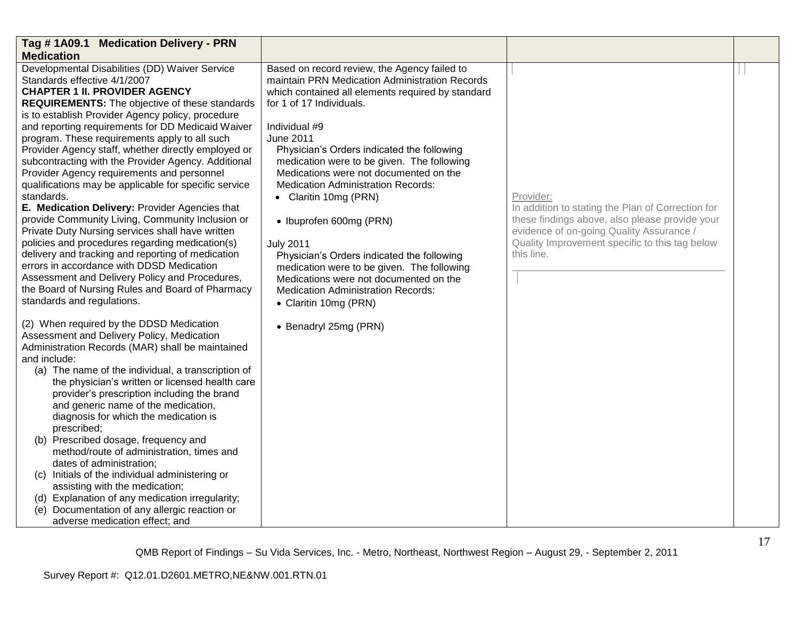| Tag #1A09.1 Medication Delivery - PRN                                                                                                                                                                                                                                                                                                                                                                                                                                                                                                                                                                                                                                                                                                                                                                                                                                                                                                                                                                                                                                                                                                                                                                                                                                                                                                                                                                                                                                                                                                                                                                                                                                                                                                                                                             |                                                                                                                                                                                                                                                                                                                                                                                                                                                                                                                                                                                                                                                                                                                      |                                                                                                                                                                                                                              |  |
|---------------------------------------------------------------------------------------------------------------------------------------------------------------------------------------------------------------------------------------------------------------------------------------------------------------------------------------------------------------------------------------------------------------------------------------------------------------------------------------------------------------------------------------------------------------------------------------------------------------------------------------------------------------------------------------------------------------------------------------------------------------------------------------------------------------------------------------------------------------------------------------------------------------------------------------------------------------------------------------------------------------------------------------------------------------------------------------------------------------------------------------------------------------------------------------------------------------------------------------------------------------------------------------------------------------------------------------------------------------------------------------------------------------------------------------------------------------------------------------------------------------------------------------------------------------------------------------------------------------------------------------------------------------------------------------------------------------------------------------------------------------------------------------------------|----------------------------------------------------------------------------------------------------------------------------------------------------------------------------------------------------------------------------------------------------------------------------------------------------------------------------------------------------------------------------------------------------------------------------------------------------------------------------------------------------------------------------------------------------------------------------------------------------------------------------------------------------------------------------------------------------------------------|------------------------------------------------------------------------------------------------------------------------------------------------------------------------------------------------------------------------------|--|
| <b>Medication</b>                                                                                                                                                                                                                                                                                                                                                                                                                                                                                                                                                                                                                                                                                                                                                                                                                                                                                                                                                                                                                                                                                                                                                                                                                                                                                                                                                                                                                                                                                                                                                                                                                                                                                                                                                                                 |                                                                                                                                                                                                                                                                                                                                                                                                                                                                                                                                                                                                                                                                                                                      |                                                                                                                                                                                                                              |  |
| Developmental Disabilities (DD) Waiver Service<br>Standards effective 4/1/2007<br><b>CHAPTER 1 II. PROVIDER AGENCY</b><br><b>REQUIREMENTS:</b> The objective of these standards<br>is to establish Provider Agency policy, procedure<br>and reporting requirements for DD Medicaid Waiver<br>program. These requirements apply to all such<br>Provider Agency staff, whether directly employed or<br>subcontracting with the Provider Agency. Additional<br>Provider Agency requirements and personnel<br>qualifications may be applicable for specific service<br>standards.<br>E. Medication Delivery: Provider Agencies that<br>provide Community Living, Community Inclusion or<br>Private Duty Nursing services shall have written<br>policies and procedures regarding medication(s)<br>delivery and tracking and reporting of medication<br>errors in accordance with DDSD Medication<br>Assessment and Delivery Policy and Procedures,<br>the Board of Nursing Rules and Board of Pharmacy<br>standards and regulations.<br>(2) When required by the DDSD Medication<br>Assessment and Delivery Policy, Medication<br>Administration Records (MAR) shall be maintained<br>and include:<br>(a) The name of the individual, a transcription of<br>the physician's written or licensed health care<br>provider's prescription including the brand<br>and generic name of the medication,<br>diagnosis for which the medication is<br>prescribed;<br>(b) Prescribed dosage, frequency and<br>method/route of administration, times and<br>dates of administration;<br>(c) Initials of the individual administering or<br>assisting with the medication;<br>(d) Explanation of any medication irregularity;<br>(e) Documentation of any allergic reaction or<br>adverse medication effect; and | Based on record review, the Agency failed to<br>maintain PRN Medication Administration Records<br>which contained all elements required by standard<br>for 1 of 17 Individuals.<br>Individual #9<br><b>June 2011</b><br>Physician's Orders indicated the following<br>medication were to be given. The following<br>Medications were not documented on the<br><b>Medication Administration Records:</b><br>• Claritin 10mg (PRN)<br>• Ibuprofen 600mg (PRN)<br><b>July 2011</b><br>Physician's Orders indicated the following<br>medication were to be given. The following<br>Medications were not documented on the<br><b>Medication Administration Records:</b><br>• Claritin 10mg (PRN)<br>• Benadryl 25mg (PRN) | Provider:<br>In addition to stating the Plan of Correction for<br>these findings above, also please provide your<br>evidence of on-going Quality Assurance /<br>Quality Improvement specific to this tag below<br>this line. |  |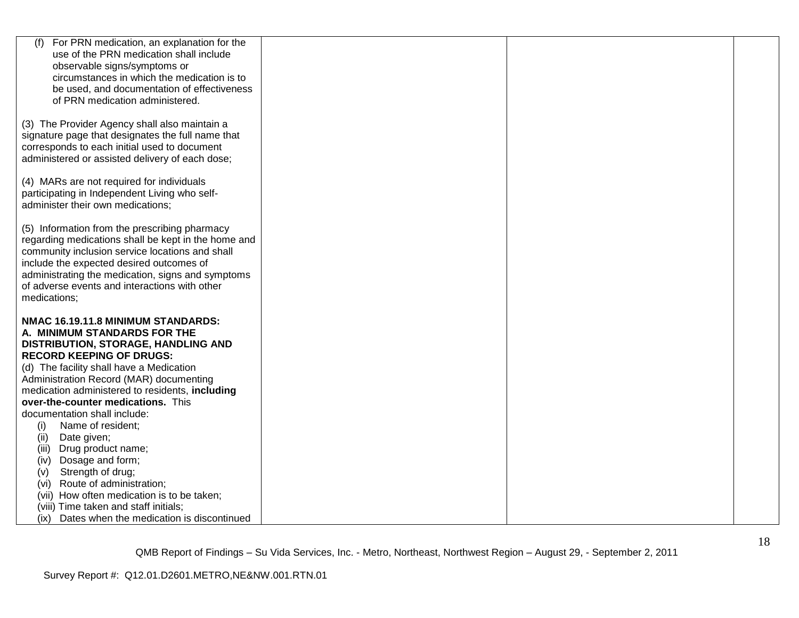| For PRN medication, an explanation for the<br>(f)                       |  |
|-------------------------------------------------------------------------|--|
|                                                                         |  |
| use of the PRN medication shall include<br>observable signs/symptoms or |  |
| circumstances in which the medication is to                             |  |
| be used, and documentation of effectiveness                             |  |
| of PRN medication administered.                                         |  |
|                                                                         |  |
| (3) The Provider Agency shall also maintain a                           |  |
| signature page that designates the full name that                       |  |
| corresponds to each initial used to document                            |  |
| administered or assisted delivery of each dose;                         |  |
|                                                                         |  |
| (4) MARs are not required for individuals                               |  |
| participating in Independent Living who self-                           |  |
| administer their own medications;                                       |  |
| (5) Information from the prescribing pharmacy                           |  |
| regarding medications shall be kept in the home and                     |  |
| community inclusion service locations and shall                         |  |
| include the expected desired outcomes of                                |  |
| administrating the medication, signs and symptoms                       |  |
| of adverse events and interactions with other                           |  |
| medications;                                                            |  |
| NMAC 16.19.11.8 MINIMUM STANDARDS:                                      |  |
| A. MINIMUM STANDARDS FOR THE                                            |  |
| DISTRIBUTION, STORAGE, HANDLING AND                                     |  |
| <b>RECORD KEEPING OF DRUGS:</b>                                         |  |
| (d) The facility shall have a Medication                                |  |
| Administration Record (MAR) documenting                                 |  |
| medication administered to residents, including                         |  |
| over-the-counter medications. This                                      |  |
| documentation shall include:                                            |  |
| Name of resident;<br>(i)                                                |  |
| Date given;<br>(ii)                                                     |  |
| Drug product name;<br>(iii)<br>Dosage and form;                         |  |
| (iv)<br>Strength of drug;<br>(v)                                        |  |
| Route of administration;<br>(vi)                                        |  |
| (vii) How often medication is to be taken;                              |  |
| (viii) Time taken and staff initials;                                   |  |
| Dates when the medication is discontinued<br>(ix)                       |  |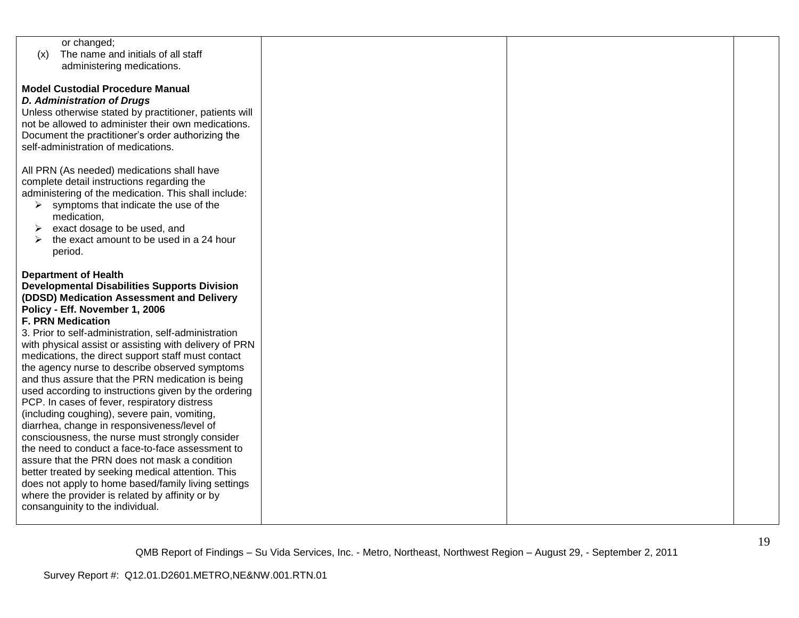| or changed;                                            |  |  |
|--------------------------------------------------------|--|--|
| The name and initials of all staff<br>(x)              |  |  |
| administering medications.                             |  |  |
|                                                        |  |  |
| <b>Model Custodial Procedure Manual</b>                |  |  |
| <b>D. Administration of Drugs</b>                      |  |  |
|                                                        |  |  |
| Unless otherwise stated by practitioner, patients will |  |  |
| not be allowed to administer their own medications.    |  |  |
| Document the practitioner's order authorizing the      |  |  |
| self-administration of medications.                    |  |  |
|                                                        |  |  |
| All PRN (As needed) medications shall have             |  |  |
| complete detail instructions regarding the             |  |  |
| administering of the medication. This shall include:   |  |  |
| symptoms that indicate the use of the<br>➤             |  |  |
|                                                        |  |  |
| medication,                                            |  |  |
| exact dosage to be used, and<br>➤                      |  |  |
| the exact amount to be used in a 24 hour               |  |  |
| period.                                                |  |  |
|                                                        |  |  |
| <b>Department of Health</b>                            |  |  |
| <b>Developmental Disabilities Supports Division</b>    |  |  |
| (DDSD) Medication Assessment and Delivery              |  |  |
| Policy - Eff. November 1, 2006                         |  |  |
| <b>F. PRN Medication</b>                               |  |  |
|                                                        |  |  |
| 3. Prior to self-administration, self-administration   |  |  |
| with physical assist or assisting with delivery of PRN |  |  |
| medications, the direct support staff must contact     |  |  |
| the agency nurse to describe observed symptoms         |  |  |
| and thus assure that the PRN medication is being       |  |  |
| used according to instructions given by the ordering   |  |  |
| PCP. In cases of fever, respiratory distress           |  |  |
| (including coughing), severe pain, vomiting,           |  |  |
| diarrhea, change in responsiveness/level of            |  |  |
| consciousness, the nurse must strongly consider        |  |  |
|                                                        |  |  |
| the need to conduct a face-to-face assessment to       |  |  |
| assure that the PRN does not mask a condition          |  |  |
| better treated by seeking medical attention. This      |  |  |
| does not apply to home based/family living settings    |  |  |
| where the provider is related by affinity or by        |  |  |
| consanguinity to the individual.                       |  |  |
|                                                        |  |  |
|                                                        |  |  |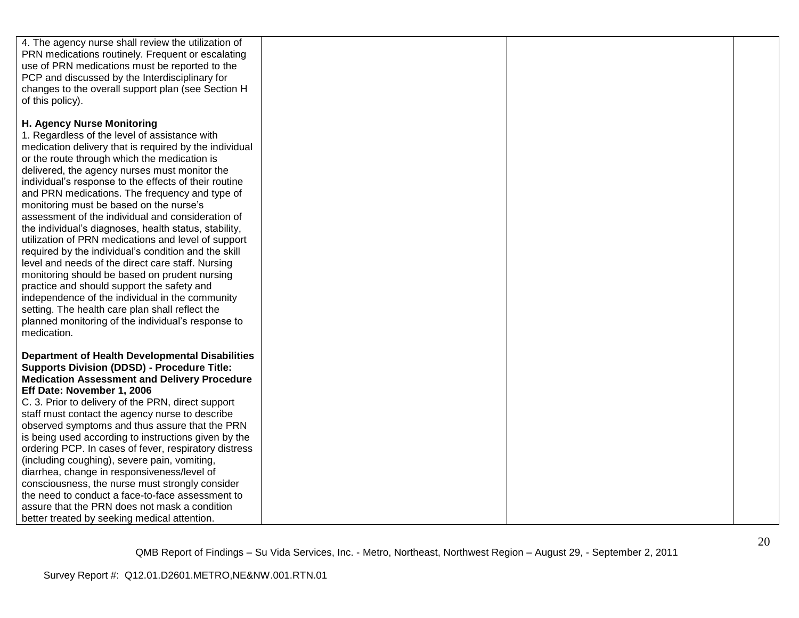| 4. The agency nurse shall review the utilization of    |  |  |
|--------------------------------------------------------|--|--|
| PRN medications routinely. Frequent or escalating      |  |  |
|                                                        |  |  |
| use of PRN medications must be reported to the         |  |  |
| PCP and discussed by the Interdisciplinary for         |  |  |
| changes to the overall support plan (see Section H     |  |  |
| of this policy).                                       |  |  |
|                                                        |  |  |
| H. Agency Nurse Monitoring                             |  |  |
| 1. Regardless of the level of assistance with          |  |  |
| medication delivery that is required by the individual |  |  |
| or the route through which the medication is           |  |  |
| delivered, the agency nurses must monitor the          |  |  |
| individual's response to the effects of their routine  |  |  |
| and PRN medications. The frequency and type of         |  |  |
| monitoring must be based on the nurse's                |  |  |
| assessment of the individual and consideration of      |  |  |
| the individual's diagnoses, health status, stability,  |  |  |
| utilization of PRN medications and level of support    |  |  |
| required by the individual's condition and the skill   |  |  |
| level and needs of the direct care staff. Nursing      |  |  |
| monitoring should be based on prudent nursing          |  |  |
|                                                        |  |  |
| practice and should support the safety and             |  |  |
| independence of the individual in the community        |  |  |
| setting. The health care plan shall reflect the        |  |  |
| planned monitoring of the individual's response to     |  |  |
| medication.                                            |  |  |
|                                                        |  |  |
| <b>Department of Health Developmental Disabilities</b> |  |  |
| <b>Supports Division (DDSD) - Procedure Title:</b>     |  |  |
| <b>Medication Assessment and Delivery Procedure</b>    |  |  |
| Eff Date: November 1, 2006                             |  |  |
| C. 3. Prior to delivery of the PRN, direct support     |  |  |
| staff must contact the agency nurse to describe        |  |  |
| observed symptoms and thus assure that the PRN         |  |  |
| is being used according to instructions given by the   |  |  |
| ordering PCP. In cases of fever, respiratory distress  |  |  |
| (including coughing), severe pain, vomiting,           |  |  |
| diarrhea, change in responsiveness/level of            |  |  |
| consciousness, the nurse must strongly consider        |  |  |
| the need to conduct a face-to-face assessment to       |  |  |
| assure that the PRN does not mask a condition          |  |  |
| better treated by seeking medical attention.           |  |  |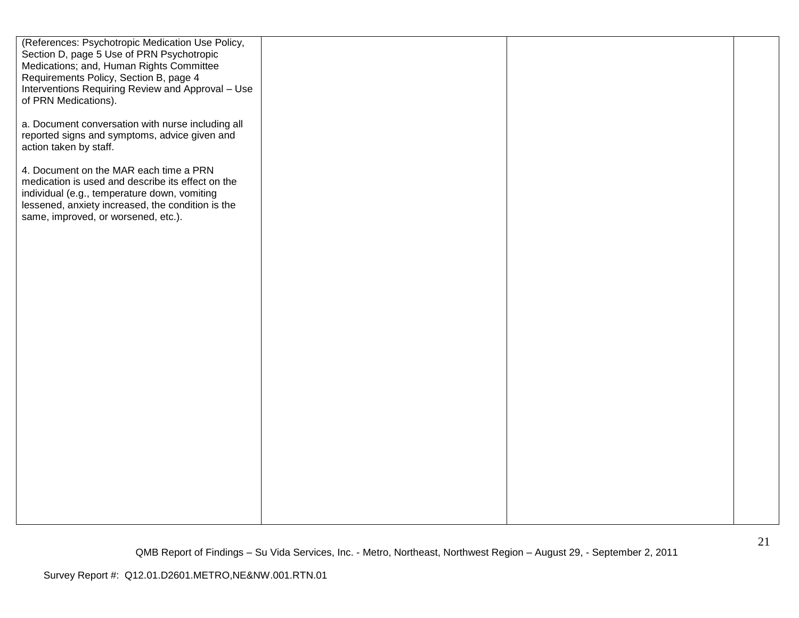| (References: Psychotropic Medication Use Policy,                                            |  |  |
|---------------------------------------------------------------------------------------------|--|--|
| Section D, page 5 Use of PRN Psychotropic                                                   |  |  |
| Medications; and, Human Rights Committee                                                    |  |  |
| Requirements Policy, Section B, page 4<br>Interventions Requiring Review and Approval - Use |  |  |
| of PRN Medications).                                                                        |  |  |
|                                                                                             |  |  |
| a. Document conversation with nurse including all                                           |  |  |
| reported signs and symptoms, advice given and                                               |  |  |
| action taken by staff.                                                                      |  |  |
|                                                                                             |  |  |
| 4. Document on the MAR each time a PRN<br>medication is used and describe its effect on the |  |  |
| individual (e.g., temperature down, vomiting                                                |  |  |
| lessened, anxiety increased, the condition is the                                           |  |  |
| same, improved, or worsened, etc.).                                                         |  |  |
|                                                                                             |  |  |
|                                                                                             |  |  |
|                                                                                             |  |  |
|                                                                                             |  |  |
|                                                                                             |  |  |
|                                                                                             |  |  |
|                                                                                             |  |  |
|                                                                                             |  |  |
|                                                                                             |  |  |
|                                                                                             |  |  |
|                                                                                             |  |  |
|                                                                                             |  |  |
|                                                                                             |  |  |
|                                                                                             |  |  |
|                                                                                             |  |  |
|                                                                                             |  |  |
|                                                                                             |  |  |
|                                                                                             |  |  |
|                                                                                             |  |  |
|                                                                                             |  |  |
|                                                                                             |  |  |
|                                                                                             |  |  |
|                                                                                             |  |  |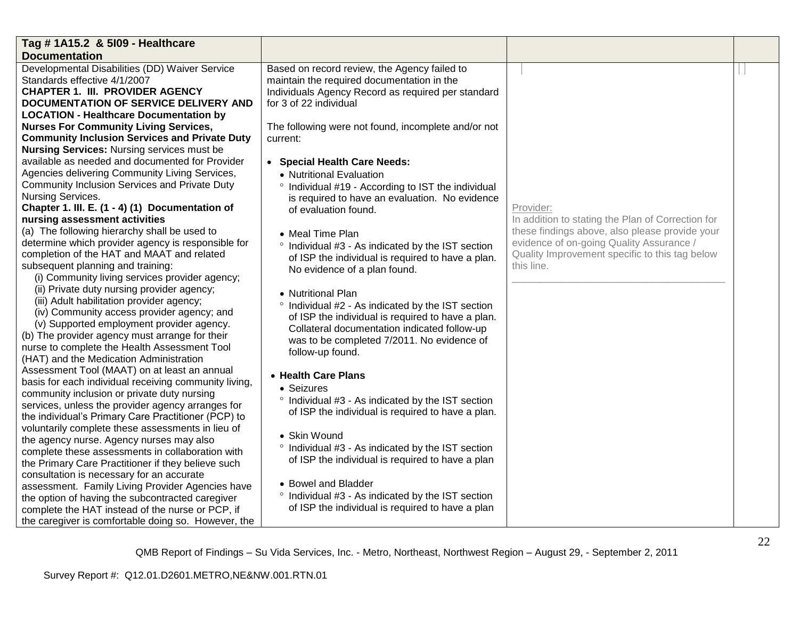| Tag # 1A15.2 & 5109 - Healthcare                                                                      |                                                               |                                                   |  |
|-------------------------------------------------------------------------------------------------------|---------------------------------------------------------------|---------------------------------------------------|--|
| <b>Documentation</b>                                                                                  |                                                               |                                                   |  |
| Developmental Disabilities (DD) Waiver Service                                                        | Based on record review, the Agency failed to                  |                                                   |  |
| Standards effective 4/1/2007                                                                          | maintain the required documentation in the                    |                                                   |  |
| <b>CHAPTER 1. III. PROVIDER AGENCY</b>                                                                | Individuals Agency Record as required per standard            |                                                   |  |
| <b>DOCUMENTATION OF SERVICE DELIVERY AND</b>                                                          | for 3 of 22 individual                                        |                                                   |  |
| <b>LOCATION - Healthcare Documentation by</b>                                                         |                                                               |                                                   |  |
| <b>Nurses For Community Living Services,</b>                                                          | The following were not found, incomplete and/or not           |                                                   |  |
| <b>Community Inclusion Services and Private Duty</b>                                                  | current:                                                      |                                                   |  |
| <b>Nursing Services: Nursing services must be</b>                                                     |                                                               |                                                   |  |
| available as needed and documented for Provider                                                       | • Special Health Care Needs:                                  |                                                   |  |
| Agencies delivering Community Living Services,                                                        | • Nutritional Evaluation                                      |                                                   |  |
| Community Inclusion Services and Private Duty                                                         | <sup>o</sup> Individual #19 - According to IST the individual |                                                   |  |
| Nursing Services.                                                                                     | is required to have an evaluation. No evidence                |                                                   |  |
| Chapter 1. III. E. (1 - 4) (1) Documentation of                                                       | of evaluation found.                                          | Provider:                                         |  |
| nursing assessment activities                                                                         |                                                               | In addition to stating the Plan of Correction for |  |
| (a) The following hierarchy shall be used to                                                          | • Meal Time Plan                                              | these findings above, also please provide your    |  |
| determine which provider agency is responsible for                                                    | ° Individual #3 - As indicated by the IST section             | evidence of on-going Quality Assurance /          |  |
| completion of the HAT and MAAT and related                                                            | of ISP the individual is required to have a plan.             | Quality Improvement specific to this tag below    |  |
| subsequent planning and training:                                                                     | No evidence of a plan found.                                  | this line.                                        |  |
| (i) Community living services provider agency;                                                        |                                                               |                                                   |  |
| (ii) Private duty nursing provider agency;                                                            | • Nutritional Plan                                            |                                                   |  |
| (iii) Adult habilitation provider agency;                                                             | ° Individual #2 - As indicated by the IST section             |                                                   |  |
| (iv) Community access provider agency; and                                                            | of ISP the individual is required to have a plan.             |                                                   |  |
| (v) Supported employment provider agency.                                                             | Collateral documentation indicated follow-up                  |                                                   |  |
| (b) The provider agency must arrange for their                                                        | was to be completed 7/2011. No evidence of                    |                                                   |  |
| nurse to complete the Health Assessment Tool                                                          | follow-up found.                                              |                                                   |  |
| (HAT) and the Medication Administration                                                               |                                                               |                                                   |  |
| Assessment Tool (MAAT) on at least an annual<br>basis for each individual receiving community living, | • Health Care Plans                                           |                                                   |  |
| community inclusion or private duty nursing                                                           | • Seizures                                                    |                                                   |  |
| services, unless the provider agency arranges for                                                     | ° Individual #3 - As indicated by the IST section             |                                                   |  |
| the individual's Primary Care Practitioner (PCP) to                                                   | of ISP the individual is required to have a plan.             |                                                   |  |
| voluntarily complete these assessments in lieu of                                                     |                                                               |                                                   |  |
| the agency nurse. Agency nurses may also                                                              | • Skin Wound                                                  |                                                   |  |
| complete these assessments in collaboration with                                                      | ° Individual #3 - As indicated by the IST section             |                                                   |  |
| the Primary Care Practitioner if they believe such                                                    | of ISP the individual is required to have a plan              |                                                   |  |
| consultation is necessary for an accurate                                                             |                                                               |                                                   |  |
| assessment. Family Living Provider Agencies have                                                      | • Bowel and Bladder                                           |                                                   |  |
| the option of having the subcontracted caregiver                                                      | ° Individual #3 - As indicated by the IST section             |                                                   |  |
| complete the HAT instead of the nurse or PCP, if                                                      | of ISP the individual is required to have a plan              |                                                   |  |
| the caregiver is comfortable doing so. However, the                                                   |                                                               |                                                   |  |
|                                                                                                       |                                                               |                                                   |  |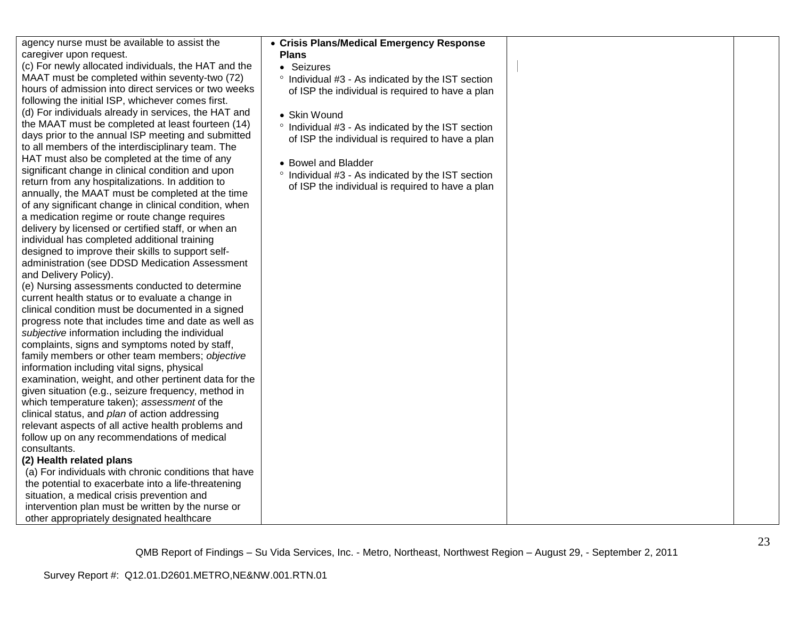agency nurse must be available to assist the caregiver upon request.

(c) For newly allocated individuals, the HAT and the MAAT must be completed within seventy-two (72) hours of admission into direct services or two weeks following the initial ISP, whichever comes first. (d) For individuals already in services, the HAT and the MAAT must be completed at least fourteen (14) days prior to the annual ISP meeting and submitted to all members of the interdisciplinary team. The HAT must also be completed at the time of any significant change in clinical condition and upon return from any hospitalizations. In addition to annually, the MAAT must be completed at the time of any significant change in clinical condition, when a medication regime or route change requires delivery by licensed or certified staff, or when an individual has completed additional training designed to improve their skills to support selfadministration (see DDSD Medication Assessment and Delivery Policy).

(e) Nursing assessments conducted to determine current health status or to evaluate a change in clinical condition must be documented in a signed progress note that includes time and date as well as *subjective* information including the individual complaints, signs and symptoms noted by staff, family members or other team members; *objective*  information including vital signs, physical examination, weight, and other pertinent data for the given situation (e.g., seizure frequency, method in which temperature taken); *assessment* of the clinical status, and *plan* of action addressing relevant aspects of all active health problems and follow up on any recommendations of medical consultants.

## **(2) Health related plans**

(a) For individuals with chronic conditions that have the potential to exacerbate into a life-threatening situation, a medical crisis prevention and intervention plan must be written by the nurse or other appropriately designated healthcare

| ● Crisis Plans/Medical Emergency Response<br><b>Plans</b>                                                                             |  |
|---------------------------------------------------------------------------------------------------------------------------------------|--|
| Seizures                                                                                                                              |  |
| Individual #3 - As indicated by the IST section<br>$\circ$<br>of ISP the individual is required to have a plan                        |  |
| $\bullet$ Skin Wound                                                                                                                  |  |
| Individual #3 - As indicated by the IST section<br>$\circ$<br>of ISP the individual is required to have a plan                        |  |
| • Bowel and Bladder<br>Individual #3 - As indicated by the IST section<br>$\circ$<br>of ISP the individual is required to have a plan |  |
|                                                                                                                                       |  |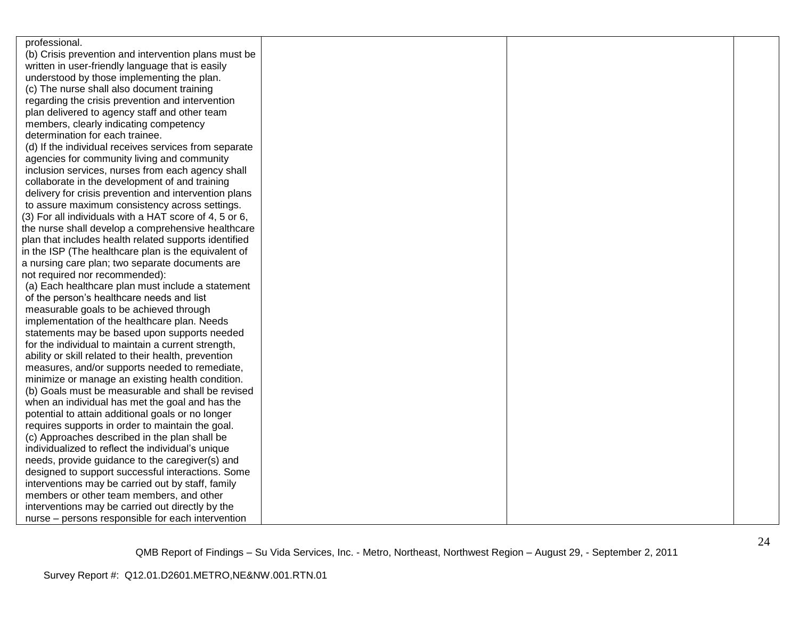| professional.                                          |  |  |
|--------------------------------------------------------|--|--|
| (b) Crisis prevention and intervention plans must be   |  |  |
| written in user-friendly language that is easily       |  |  |
| understood by those implementing the plan.             |  |  |
| (c) The nurse shall also document training             |  |  |
| regarding the crisis prevention and intervention       |  |  |
| plan delivered to agency staff and other team          |  |  |
| members, clearly indicating competency                 |  |  |
| determination for each trainee.                        |  |  |
| (d) If the individual receives services from separate  |  |  |
| agencies for community living and community            |  |  |
| inclusion services, nurses from each agency shall      |  |  |
| collaborate in the development of and training         |  |  |
| delivery for crisis prevention and intervention plans  |  |  |
| to assure maximum consistency across settings.         |  |  |
| (3) For all individuals with a HAT score of 4, 5 or 6, |  |  |
| the nurse shall develop a comprehensive healthcare     |  |  |
| plan that includes health related supports identified  |  |  |
| in the ISP (The healthcare plan is the equivalent of   |  |  |
| a nursing care plan; two separate documents are        |  |  |
| not required nor recommended):                         |  |  |
| (a) Each healthcare plan must include a statement      |  |  |
| of the person's healthcare needs and list              |  |  |
| measurable goals to be achieved through                |  |  |
| implementation of the healthcare plan. Needs           |  |  |
| statements may be based upon supports needed           |  |  |
| for the individual to maintain a current strength,     |  |  |
| ability or skill related to their health, prevention   |  |  |
| measures, and/or supports needed to remediate,         |  |  |
| minimize or manage an existing health condition.       |  |  |
| (b) Goals must be measurable and shall be revised      |  |  |
| when an individual has met the goal and has the        |  |  |
| potential to attain additional goals or no longer      |  |  |
| requires supports in order to maintain the goal.       |  |  |
| (c) Approaches described in the plan shall be          |  |  |
| individualized to reflect the individual's unique      |  |  |
| needs, provide guidance to the caregiver(s) and        |  |  |
| designed to support successful interactions. Some      |  |  |
| interventions may be carried out by staff, family      |  |  |
| members or other team members, and other               |  |  |
| interventions may be carried out directly by the       |  |  |
| nurse - persons responsible for each intervention      |  |  |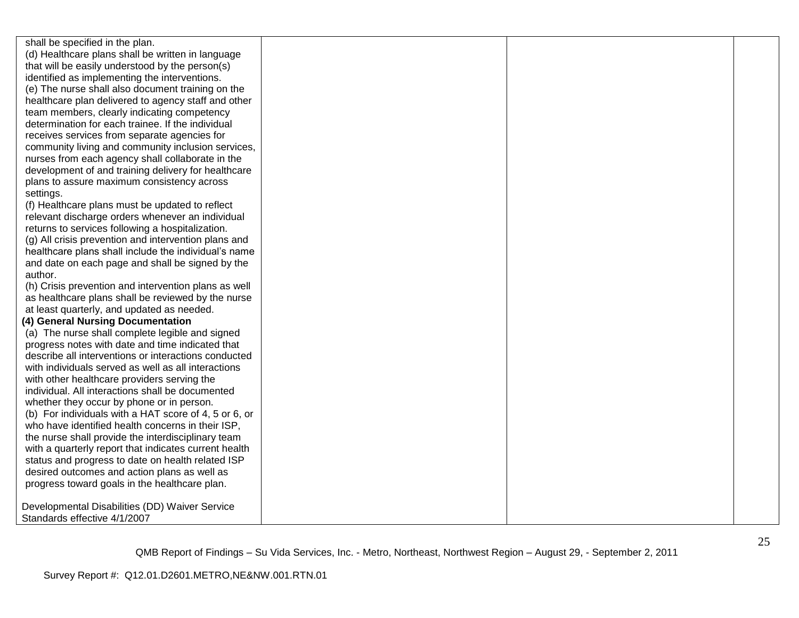shall be specified in the plan. (d) Healthcare plans shall be written in language that will be easily understood by the person(s) identified as implementing the interventions. (e) The nurse shall also document training on the healthcare plan delivered to agency staff and other team members, clearly indicating competency determination for each trainee. If the individual receives services from separate agencies for community living and community inclusion services, nurses from each agency shall collaborate in the development of and training delivery for healthcare plans to assure maximum consistency across settings.

(f) Healthcare plans must be updated to reflect relevant discharge orders whenever an individual returns to services following a hospitalization.

(g) All crisis prevention and intervention plans and healthcare plans shall include the individual's name and date on each page and shall be signed by the author.

(h) Crisis prevention and intervention plans as well as healthcare plans shall be reviewed by the nurse at least quarterly, and updated as needed.

### **(4) General Nursing Documentation**

(a) The nurse shall complete legible and signed progress notes with date and time indicated that describe all interventions or interactions conducted with individuals served as well as all interactions with other healthcare providers serving the individual. All interactions shall be documented whether they occur by phone or in person. (b) For individuals with a HAT score of 4, 5 or 6, or who have identified health concerns in their ISP, the nurse shall provide the interdisciplinary team with a quarterly report that indicates current health status and progress to date on health related ISP desired outcomes and action plans as well as progress toward goals in the healthcare plan.

Developmental Disabilities (DD) Waiver Service Standards effective 4/1/2007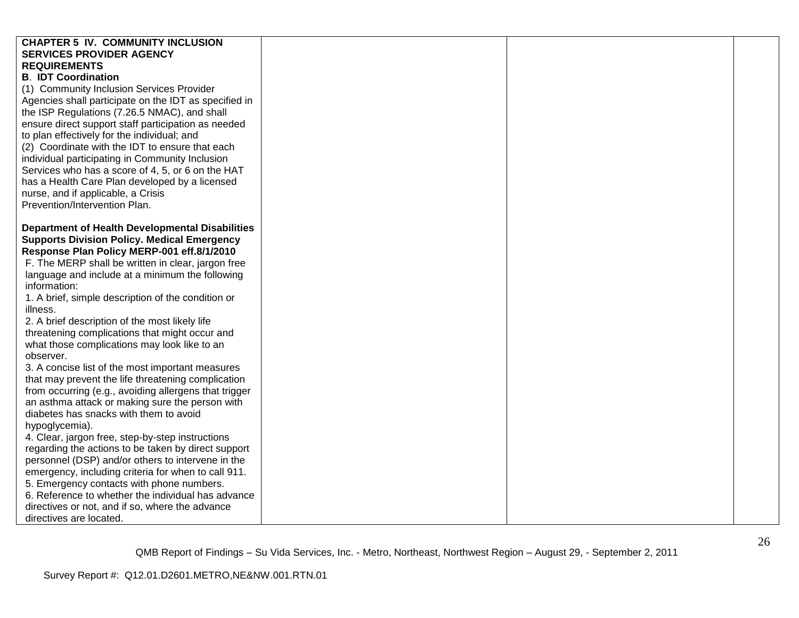| <b>CHAPTER 5 IV. COMMUNITY INCLUSION</b>               |  |  |
|--------------------------------------------------------|--|--|
| <b>SERVICES PROVIDER AGENCY</b>                        |  |  |
| <b>REQUIREMENTS</b>                                    |  |  |
| <b>B. IDT Coordination</b>                             |  |  |
| (1) Community Inclusion Services Provider              |  |  |
| Agencies shall participate on the IDT as specified in  |  |  |
| the ISP Regulations (7.26.5 NMAC), and shall           |  |  |
| ensure direct support staff participation as needed    |  |  |
| to plan effectively for the individual; and            |  |  |
| (2) Coordinate with the IDT to ensure that each        |  |  |
| individual participating in Community Inclusion        |  |  |
| Services who has a score of 4, 5, or 6 on the HAT      |  |  |
| has a Health Care Plan developed by a licensed         |  |  |
| nurse, and if applicable, a Crisis                     |  |  |
| Prevention/Intervention Plan.                          |  |  |
|                                                        |  |  |
| <b>Department of Health Developmental Disabilities</b> |  |  |
| <b>Supports Division Policy. Medical Emergency</b>     |  |  |
| Response Plan Policy MERP-001 eff.8/1/2010             |  |  |
| F. The MERP shall be written in clear, jargon free     |  |  |
| language and include at a minimum the following        |  |  |
| information:                                           |  |  |
| 1. A brief, simple description of the condition or     |  |  |
| illness.                                               |  |  |
| 2. A brief description of the most likely life         |  |  |
| threatening complications that might occur and         |  |  |
| what those complications may look like to an           |  |  |
| observer.                                              |  |  |
| 3. A concise list of the most important measures       |  |  |
| that may prevent the life threatening complication     |  |  |
| from occurring (e.g., avoiding allergens that trigger  |  |  |
| an asthma attack or making sure the person with        |  |  |
| diabetes has snacks with them to avoid                 |  |  |
| hypoglycemia).                                         |  |  |
| 4. Clear, jargon free, step-by-step instructions       |  |  |
| regarding the actions to be taken by direct support    |  |  |
| personnel (DSP) and/or others to intervene in the      |  |  |
| emergency, including criteria for when to call 911.    |  |  |
| 5. Emergency contacts with phone numbers.              |  |  |
| 6. Reference to whether the individual has advance     |  |  |
| directives or not, and if so, where the advance        |  |  |
| directives are located.                                |  |  |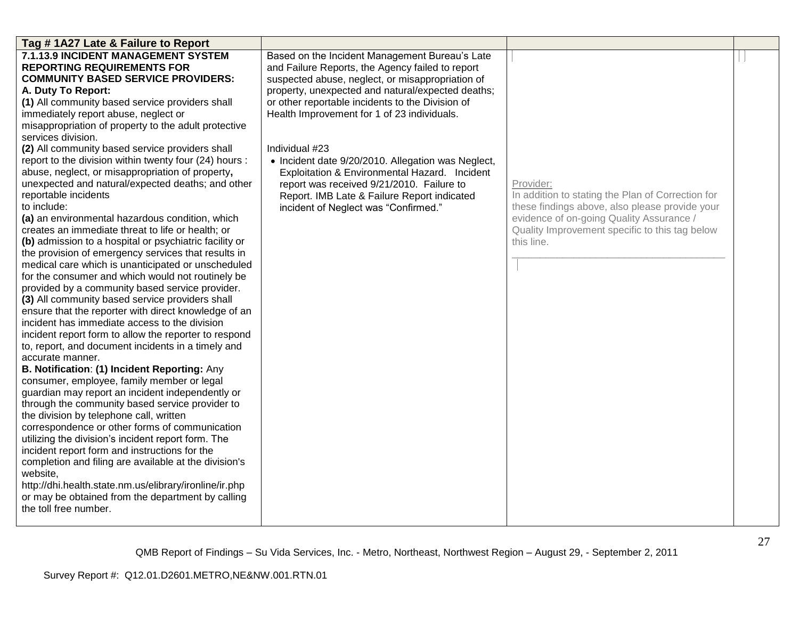| Tag #1A27 Late & Failure to Report                                                      |                                                                                                 |                                                   |  |
|-----------------------------------------------------------------------------------------|-------------------------------------------------------------------------------------------------|---------------------------------------------------|--|
| 7.1.13.9 INCIDENT MANAGEMENT SYSTEM                                                     | Based on the Incident Management Bureau's Late                                                  |                                                   |  |
| <b>REPORTING REQUIREMENTS FOR</b>                                                       | and Failure Reports, the Agency failed to report                                                |                                                   |  |
| <b>COMMUNITY BASED SERVICE PROVIDERS:</b>                                               | suspected abuse, neglect, or misappropriation of                                                |                                                   |  |
| A. Duty To Report:                                                                      | property, unexpected and natural/expected deaths;                                               |                                                   |  |
| (1) All community based service providers shall<br>immediately report abuse, neglect or | or other reportable incidents to the Division of<br>Health Improvement for 1 of 23 individuals. |                                                   |  |
| misappropriation of property to the adult protective                                    |                                                                                                 |                                                   |  |
| services division.                                                                      |                                                                                                 |                                                   |  |
| (2) All community based service providers shall                                         | Individual #23                                                                                  |                                                   |  |
| report to the division within twenty four (24) hours :                                  | • Incident date 9/20/2010. Allegation was Neglect,                                              |                                                   |  |
| abuse, neglect, or misappropriation of property,                                        | Exploitation & Environmental Hazard. Incident                                                   |                                                   |  |
| unexpected and natural/expected deaths; and other                                       | report was received 9/21/2010. Failure to                                                       | Provider:                                         |  |
| reportable incidents                                                                    | Report. IMB Late & Failure Report indicated                                                     | In addition to stating the Plan of Correction for |  |
| to include:                                                                             | incident of Neglect was "Confirmed."                                                            | these findings above, also please provide your    |  |
| (a) an environmental hazardous condition, which                                         |                                                                                                 | evidence of on-going Quality Assurance /          |  |
| creates an immediate threat to life or health; or                                       |                                                                                                 | Quality Improvement specific to this tag below    |  |
| (b) admission to a hospital or psychiatric facility or                                  |                                                                                                 | this line.                                        |  |
| the provision of emergency services that results in                                     |                                                                                                 |                                                   |  |
| medical care which is unanticipated or unscheduled                                      |                                                                                                 |                                                   |  |
| for the consumer and which would not routinely be                                       |                                                                                                 |                                                   |  |
| provided by a community based service provider.                                         |                                                                                                 |                                                   |  |
| (3) All community based service providers shall                                         |                                                                                                 |                                                   |  |
| ensure that the reporter with direct knowledge of an                                    |                                                                                                 |                                                   |  |
| incident has immediate access to the division                                           |                                                                                                 |                                                   |  |
| incident report form to allow the reporter to respond                                   |                                                                                                 |                                                   |  |
| to, report, and document incidents in a timely and                                      |                                                                                                 |                                                   |  |
| accurate manner.<br>B. Notification: (1) Incident Reporting: Any                        |                                                                                                 |                                                   |  |
| consumer, employee, family member or legal                                              |                                                                                                 |                                                   |  |
| guardian may report an incident independently or                                        |                                                                                                 |                                                   |  |
| through the community based service provider to                                         |                                                                                                 |                                                   |  |
| the division by telephone call, written                                                 |                                                                                                 |                                                   |  |
| correspondence or other forms of communication                                          |                                                                                                 |                                                   |  |
| utilizing the division's incident report form. The                                      |                                                                                                 |                                                   |  |
| incident report form and instructions for the                                           |                                                                                                 |                                                   |  |
| completion and filing are available at the division's                                   |                                                                                                 |                                                   |  |
| website,                                                                                |                                                                                                 |                                                   |  |
| http://dhi.health.state.nm.us/elibrary/ironline/ir.php                                  |                                                                                                 |                                                   |  |
| or may be obtained from the department by calling                                       |                                                                                                 |                                                   |  |
| the toll free number.                                                                   |                                                                                                 |                                                   |  |
|                                                                                         |                                                                                                 |                                                   |  |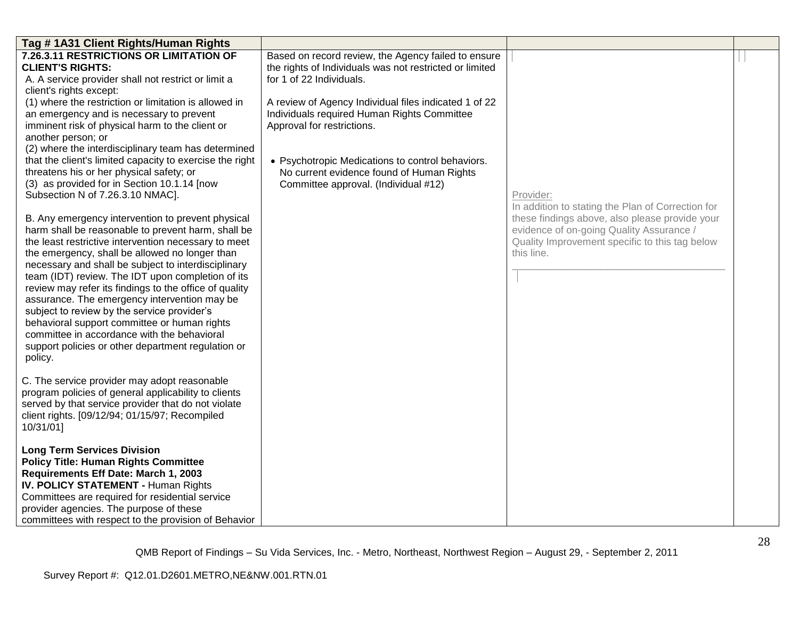| Tag #1A31 Client Rights/Human Rights                                                                                                                                                                                                                                                                                                                                                                                                                                                                                                                                                                                                                   |                                                                                                                                            |                                                                                                                                                            |  |
|--------------------------------------------------------------------------------------------------------------------------------------------------------------------------------------------------------------------------------------------------------------------------------------------------------------------------------------------------------------------------------------------------------------------------------------------------------------------------------------------------------------------------------------------------------------------------------------------------------------------------------------------------------|--------------------------------------------------------------------------------------------------------------------------------------------|------------------------------------------------------------------------------------------------------------------------------------------------------------|--|
| 7.26.3.11 RESTRICTIONS OR LIMITATION OF<br><b>CLIENT'S RIGHTS:</b><br>A. A service provider shall not restrict or limit a<br>client's rights except:                                                                                                                                                                                                                                                                                                                                                                                                                                                                                                   | Based on record review, the Agency failed to ensure<br>the rights of Individuals was not restricted or limited<br>for 1 of 22 Individuals. |                                                                                                                                                            |  |
| (1) where the restriction or limitation is allowed in<br>an emergency and is necessary to prevent<br>imminent risk of physical harm to the client or<br>another person; or                                                                                                                                                                                                                                                                                                                                                                                                                                                                             | A review of Agency Individual files indicated 1 of 22<br>Individuals required Human Rights Committee<br>Approval for restrictions.         |                                                                                                                                                            |  |
| (2) where the interdisciplinary team has determined<br>that the client's limited capacity to exercise the right<br>threatens his or her physical safety; or<br>(3) as provided for in Section 10.1.14 [now<br>Subsection N of 7.26.3.10 NMAC].                                                                                                                                                                                                                                                                                                                                                                                                         | • Psychotropic Medications to control behaviors.<br>No current evidence found of Human Rights<br>Committee approval. (Individual #12)      | Provider:<br>In addition to stating the Plan of Correction for                                                                                             |  |
| B. Any emergency intervention to prevent physical<br>harm shall be reasonable to prevent harm, shall be<br>the least restrictive intervention necessary to meet<br>the emergency, shall be allowed no longer than<br>necessary and shall be subject to interdisciplinary<br>team (IDT) review. The IDT upon completion of its<br>review may refer its findings to the office of quality<br>assurance. The emergency intervention may be<br>subject to review by the service provider's<br>behavioral support committee or human rights<br>committee in accordance with the behavioral<br>support policies or other department regulation or<br>policy. |                                                                                                                                            | these findings above, also please provide your<br>evidence of on-going Quality Assurance /<br>Quality Improvement specific to this tag below<br>this line. |  |
| C. The service provider may adopt reasonable<br>program policies of general applicability to clients<br>served by that service provider that do not violate<br>client rights. [09/12/94; 01/15/97; Recompiled<br>10/31/01]                                                                                                                                                                                                                                                                                                                                                                                                                             |                                                                                                                                            |                                                                                                                                                            |  |
| <b>Long Term Services Division</b><br><b>Policy Title: Human Rights Committee</b><br>Requirements Eff Date: March 1, 2003<br><b>IV. POLICY STATEMENT - Human Rights</b><br>Committees are required for residential service<br>provider agencies. The purpose of these<br>committees with respect to the provision of Behavior                                                                                                                                                                                                                                                                                                                          |                                                                                                                                            |                                                                                                                                                            |  |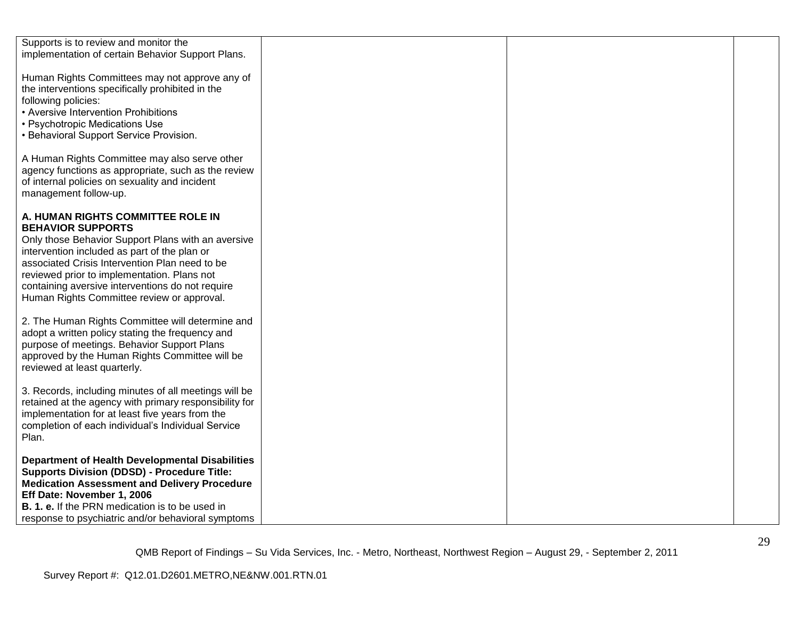| Supports is to review and monitor the                  |  |  |
|--------------------------------------------------------|--|--|
| implementation of certain Behavior Support Plans.      |  |  |
|                                                        |  |  |
| Human Rights Committees may not approve any of         |  |  |
| the interventions specifically prohibited in the       |  |  |
|                                                        |  |  |
| following policies:                                    |  |  |
| • Aversive Intervention Prohibitions                   |  |  |
| • Psychotropic Medications Use                         |  |  |
| • Behavioral Support Service Provision.                |  |  |
|                                                        |  |  |
| A Human Rights Committee may also serve other          |  |  |
| agency functions as appropriate, such as the review    |  |  |
|                                                        |  |  |
| of internal policies on sexuality and incident         |  |  |
| management follow-up.                                  |  |  |
|                                                        |  |  |
| A. HUMAN RIGHTS COMMITTEE ROLE IN                      |  |  |
| <b>BEHAVIOR SUPPORTS</b>                               |  |  |
| Only those Behavior Support Plans with an aversive     |  |  |
| intervention included as part of the plan or           |  |  |
| associated Crisis Intervention Plan need to be         |  |  |
| reviewed prior to implementation. Plans not            |  |  |
|                                                        |  |  |
| containing aversive interventions do not require       |  |  |
| Human Rights Committee review or approval.             |  |  |
|                                                        |  |  |
| 2. The Human Rights Committee will determine and       |  |  |
| adopt a written policy stating the frequency and       |  |  |
| purpose of meetings. Behavior Support Plans            |  |  |
| approved by the Human Rights Committee will be         |  |  |
| reviewed at least quarterly.                           |  |  |
|                                                        |  |  |
| 3. Records, including minutes of all meetings will be  |  |  |
|                                                        |  |  |
| retained at the agency with primary responsibility for |  |  |
| implementation for at least five years from the        |  |  |
| completion of each individual's Individual Service     |  |  |
| Plan.                                                  |  |  |
|                                                        |  |  |
| <b>Department of Health Developmental Disabilities</b> |  |  |
| <b>Supports Division (DDSD) - Procedure Title:</b>     |  |  |
| <b>Medication Assessment and Delivery Procedure</b>    |  |  |
| Eff Date: November 1, 2006                             |  |  |
|                                                        |  |  |
| <b>B. 1. e.</b> If the PRN medication is to be used in |  |  |
| response to psychiatric and/or behavioral symptoms     |  |  |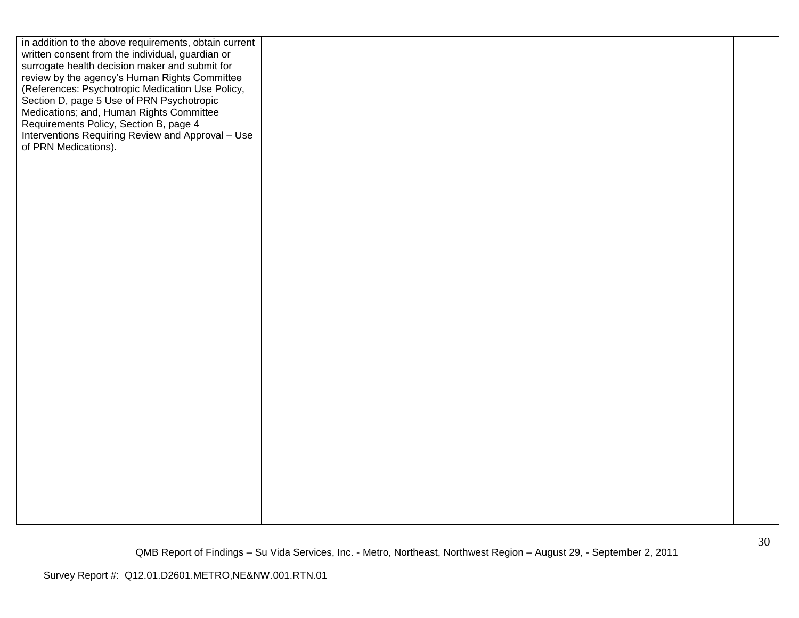| in addition to the above requirements, obtain current<br>written consent from the individual, guardian or<br>surrogate health decision maker and submit for<br>review by the agency's Human Rights Committee<br>(References: Psychotropic Medication Use Policy,<br>Section D, page 5 Use of PRN Psychotropic<br>Medications; and, Human Rights Committee<br>Requirements Policy, Section B, page 4<br>Interventions Requiring Review and Approval - Use |  |
|----------------------------------------------------------------------------------------------------------------------------------------------------------------------------------------------------------------------------------------------------------------------------------------------------------------------------------------------------------------------------------------------------------------------------------------------------------|--|
| of PRN Medications).                                                                                                                                                                                                                                                                                                                                                                                                                                     |  |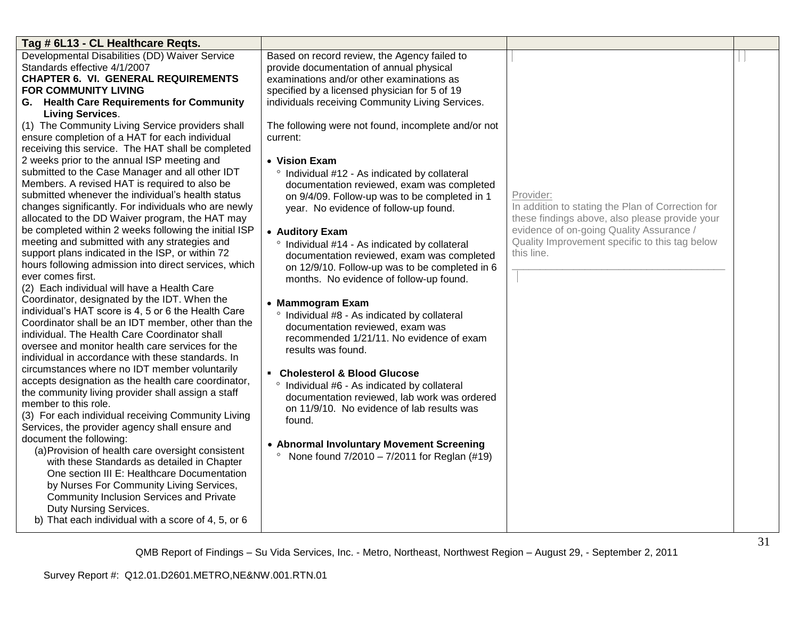| Tag # 6L13 - CL Healthcare Reqts.                                                                                                                                                                                                                                                                                                                                                                                                                                                                                                                                                                                                                                                                                                                                                                                                                                                                                                                                                    |                                                                                                                                                                                                                                                                                                                                                                                                                                                                                                                                                                                                                                                                |                                                                                                                                                                                                                              |  |
|--------------------------------------------------------------------------------------------------------------------------------------------------------------------------------------------------------------------------------------------------------------------------------------------------------------------------------------------------------------------------------------------------------------------------------------------------------------------------------------------------------------------------------------------------------------------------------------------------------------------------------------------------------------------------------------------------------------------------------------------------------------------------------------------------------------------------------------------------------------------------------------------------------------------------------------------------------------------------------------|----------------------------------------------------------------------------------------------------------------------------------------------------------------------------------------------------------------------------------------------------------------------------------------------------------------------------------------------------------------------------------------------------------------------------------------------------------------------------------------------------------------------------------------------------------------------------------------------------------------------------------------------------------------|------------------------------------------------------------------------------------------------------------------------------------------------------------------------------------------------------------------------------|--|
| Developmental Disabilities (DD) Waiver Service<br>Standards effective 4/1/2007<br><b>CHAPTER 6. VI. GENERAL REQUIREMENTS</b><br><b>FOR COMMUNITY LIVING</b><br>G. Health Care Requirements for Community<br><b>Living Services.</b>                                                                                                                                                                                                                                                                                                                                                                                                                                                                                                                                                                                                                                                                                                                                                  | Based on record review, the Agency failed to<br>provide documentation of annual physical<br>examinations and/or other examinations as<br>specified by a licensed physician for 5 of 19<br>individuals receiving Community Living Services.                                                                                                                                                                                                                                                                                                                                                                                                                     |                                                                                                                                                                                                                              |  |
| (1) The Community Living Service providers shall<br>ensure completion of a HAT for each individual<br>receiving this service. The HAT shall be completed<br>2 weeks prior to the annual ISP meeting and<br>submitted to the Case Manager and all other IDT<br>Members. A revised HAT is required to also be<br>submitted whenever the individual's health status<br>changes significantly. For individuals who are newly<br>allocated to the DD Waiver program, the HAT may<br>be completed within 2 weeks following the initial ISP<br>meeting and submitted with any strategies and<br>support plans indicated in the ISP, or within 72<br>hours following admission into direct services, which<br>ever comes first.<br>(2) Each individual will have a Health Care<br>Coordinator, designated by the IDT. When the<br>individual's HAT score is 4, 5 or 6 the Health Care<br>Coordinator shall be an IDT member, other than the<br>individual. The Health Care Coordinator shall | The following were not found, incomplete and/or not<br>current:<br>• Vision Exam<br>Individual #12 - As indicated by collateral<br>$\circ$<br>documentation reviewed, exam was completed<br>on 9/4/09. Follow-up was to be completed in 1<br>year. No evidence of follow-up found.<br>• Auditory Exam<br>° Individual #14 - As indicated by collateral<br>documentation reviewed, exam was completed<br>on 12/9/10. Follow-up was to be completed in 6<br>months. No evidence of follow-up found.<br>• Mammogram Exam<br>$\circ$<br>Individual #8 - As indicated by collateral<br>documentation reviewed, exam was<br>recommended 1/21/11. No evidence of exam | Provider:<br>In addition to stating the Plan of Correction for<br>these findings above, also please provide your<br>evidence of on-going Quality Assurance /<br>Quality Improvement specific to this tag below<br>this line. |  |
| oversee and monitor health care services for the<br>individual in accordance with these standards. In<br>circumstances where no IDT member voluntarily<br>accepts designation as the health care coordinator,<br>the community living provider shall assign a staff<br>member to this role.<br>(3) For each individual receiving Community Living<br>Services, the provider agency shall ensure and<br>document the following:<br>(a) Provision of health care oversight consistent<br>with these Standards as detailed in Chapter<br>One section III E: Healthcare Documentation<br>by Nurses For Community Living Services,<br><b>Community Inclusion Services and Private</b><br>Duty Nursing Services.<br>b) That each individual with a score of 4, 5, or 6                                                                                                                                                                                                                     | results was found.<br>• Cholesterol & Blood Glucose<br>° Individual #6 - As indicated by collateral<br>documentation reviewed, lab work was ordered<br>on 11/9/10. No evidence of lab results was<br>found.<br>• Abnormal Involuntary Movement Screening<br>• None found $7/2010 - 7/2011$ for Reglan (#19)                                                                                                                                                                                                                                                                                                                                                    |                                                                                                                                                                                                                              |  |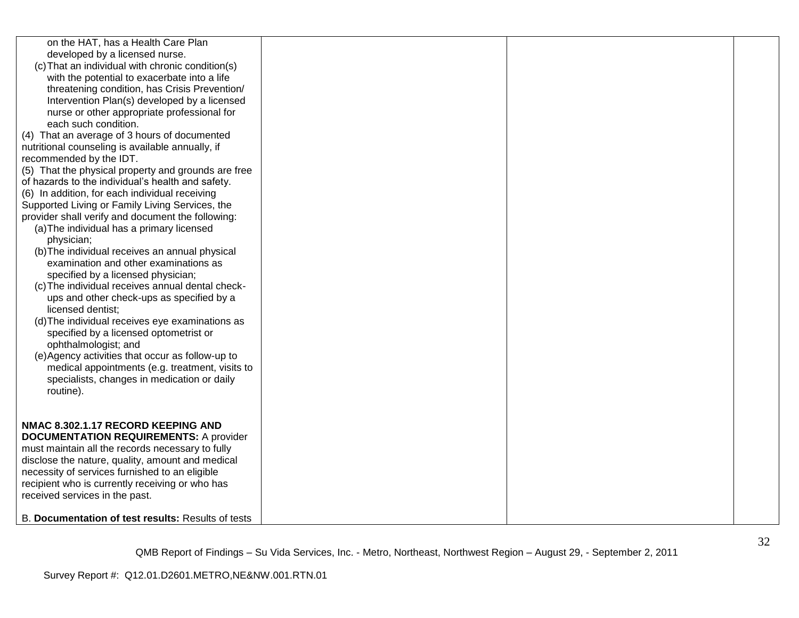| on the HAT, has a Health Care Plan<br>developed by a licensed nurse.<br>(c) That an individual with chronic condition(s)<br>with the potential to exacerbate into a life<br>threatening condition, has Crisis Prevention/<br>Intervention Plan(s) developed by a licensed<br>nurse or other appropriate professional for<br>each such condition.<br>(4) That an average of 3 hours of documented<br>nutritional counseling is available annually, if<br>recommended by the IDT.<br>(5) That the physical property and grounds are free<br>of hazards to the individual's health and safety.<br>(6) In addition, for each individual receiving<br>Supported Living or Family Living Services, the<br>provider shall verify and document the following:<br>(a) The individual has a primary licensed<br>physician;<br>(b) The individual receives an annual physical<br>examination and other examinations as<br>specified by a licensed physician;<br>(c) The individual receives annual dental check-<br>ups and other check-ups as specified by a |  |  |
|----------------------------------------------------------------------------------------------------------------------------------------------------------------------------------------------------------------------------------------------------------------------------------------------------------------------------------------------------------------------------------------------------------------------------------------------------------------------------------------------------------------------------------------------------------------------------------------------------------------------------------------------------------------------------------------------------------------------------------------------------------------------------------------------------------------------------------------------------------------------------------------------------------------------------------------------------------------------------------------------------------------------------------------------------|--|--|
| ophthalmologist; and<br>(e) Agency activities that occur as follow-up to<br>medical appointments (e.g. treatment, visits to<br>specialists, changes in medication or daily<br>routine).                                                                                                                                                                                                                                                                                                                                                                                                                                                                                                                                                                                                                                                                                                                                                                                                                                                            |  |  |
| NMAC 8.302.1.17 RECORD KEEPING AND<br><b>DOCUMENTATION REQUIREMENTS: A provider</b><br>must maintain all the records necessary to fully<br>disclose the nature, quality, amount and medical<br>necessity of services furnished to an eligible<br>recipient who is currently receiving or who has<br>received services in the past.                                                                                                                                                                                                                                                                                                                                                                                                                                                                                                                                                                                                                                                                                                                 |  |  |
| B. Documentation of test results: Results of tests                                                                                                                                                                                                                                                                                                                                                                                                                                                                                                                                                                                                                                                                                                                                                                                                                                                                                                                                                                                                 |  |  |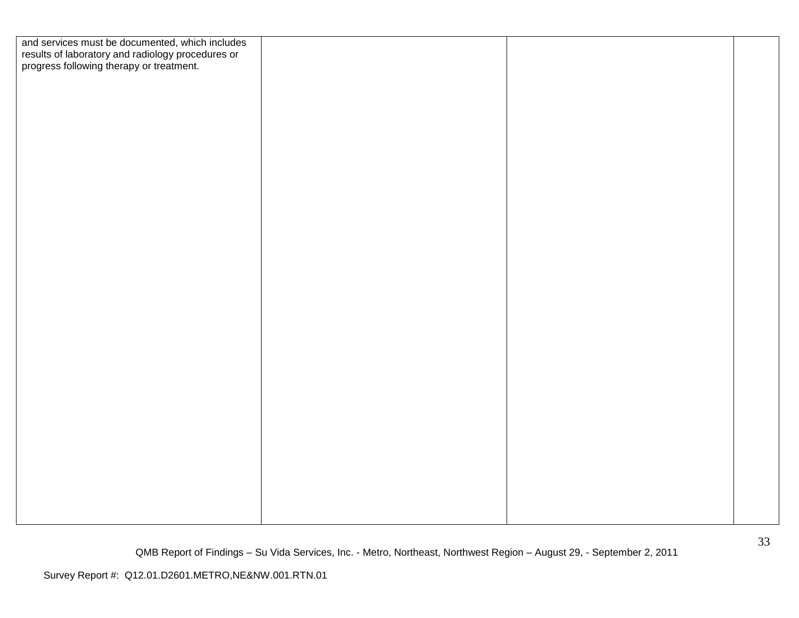| and services must be documented, which includes<br>results of laboratory and radiology procedures or<br>progress following therapy or treatment. |  |  |
|--------------------------------------------------------------------------------------------------------------------------------------------------|--|--|
|                                                                                                                                                  |  |  |
|                                                                                                                                                  |  |  |
|                                                                                                                                                  |  |  |
|                                                                                                                                                  |  |  |
|                                                                                                                                                  |  |  |
|                                                                                                                                                  |  |  |
|                                                                                                                                                  |  |  |
|                                                                                                                                                  |  |  |
|                                                                                                                                                  |  |  |
|                                                                                                                                                  |  |  |
|                                                                                                                                                  |  |  |
|                                                                                                                                                  |  |  |
|                                                                                                                                                  |  |  |
|                                                                                                                                                  |  |  |
|                                                                                                                                                  |  |  |
|                                                                                                                                                  |  |  |
|                                                                                                                                                  |  |  |
|                                                                                                                                                  |  |  |
|                                                                                                                                                  |  |  |
|                                                                                                                                                  |  |  |
|                                                                                                                                                  |  |  |
|                                                                                                                                                  |  |  |
|                                                                                                                                                  |  |  |
|                                                                                                                                                  |  |  |
|                                                                                                                                                  |  |  |
|                                                                                                                                                  |  |  |
|                                                                                                                                                  |  |  |
|                                                                                                                                                  |  |  |
|                                                                                                                                                  |  |  |
|                                                                                                                                                  |  |  |
|                                                                                                                                                  |  |  |
|                                                                                                                                                  |  |  |
|                                                                                                                                                  |  |  |
|                                                                                                                                                  |  |  |
|                                                                                                                                                  |  |  |
|                                                                                                                                                  |  |  |
|                                                                                                                                                  |  |  |
|                                                                                                                                                  |  |  |
|                                                                                                                                                  |  |  |
|                                                                                                                                                  |  |  |
|                                                                                                                                                  |  |  |
|                                                                                                                                                  |  |  |
|                                                                                                                                                  |  |  |
|                                                                                                                                                  |  |  |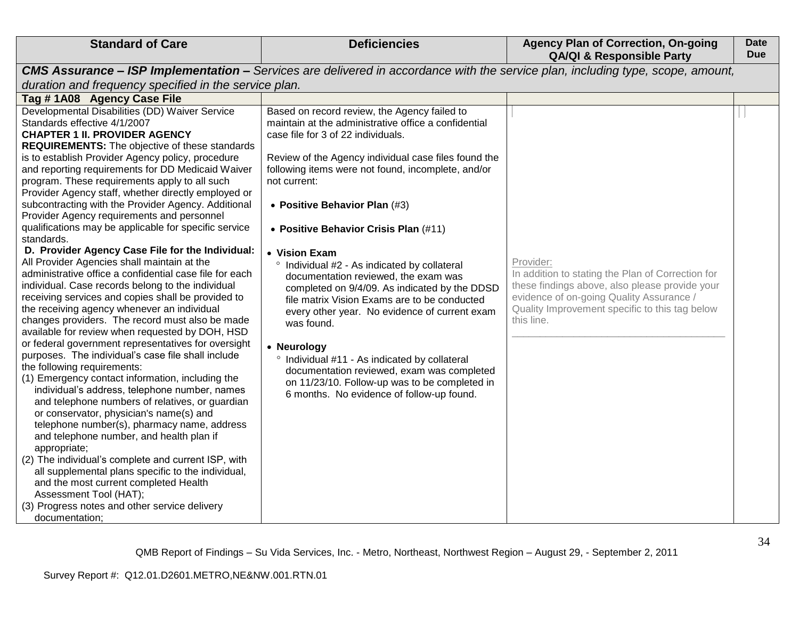| <b>Standard of Care</b>                                                                                                                                                                                                                                                                                                                                                                                                                                                                                                                                                                                                                                                                                                                                                                                                                                                                                                                                                                                                                                                                                                                                                                                                                                                                                                                                                                                                                                                                                                                                                                                                                                                                                                  | <b>Deficiencies</b>                                                                                                                                                                                                                                                                                                                                                                                                                                                                                                                                                                                                                                                                                                                                                                                                                     | <b>Agency Plan of Correction, On-going</b><br><b>QA/QI &amp; Responsible Party</b>                                                                                                                                           | <b>Date</b><br><b>Due</b> |
|--------------------------------------------------------------------------------------------------------------------------------------------------------------------------------------------------------------------------------------------------------------------------------------------------------------------------------------------------------------------------------------------------------------------------------------------------------------------------------------------------------------------------------------------------------------------------------------------------------------------------------------------------------------------------------------------------------------------------------------------------------------------------------------------------------------------------------------------------------------------------------------------------------------------------------------------------------------------------------------------------------------------------------------------------------------------------------------------------------------------------------------------------------------------------------------------------------------------------------------------------------------------------------------------------------------------------------------------------------------------------------------------------------------------------------------------------------------------------------------------------------------------------------------------------------------------------------------------------------------------------------------------------------------------------------------------------------------------------|-----------------------------------------------------------------------------------------------------------------------------------------------------------------------------------------------------------------------------------------------------------------------------------------------------------------------------------------------------------------------------------------------------------------------------------------------------------------------------------------------------------------------------------------------------------------------------------------------------------------------------------------------------------------------------------------------------------------------------------------------------------------------------------------------------------------------------------------|------------------------------------------------------------------------------------------------------------------------------------------------------------------------------------------------------------------------------|---------------------------|
|                                                                                                                                                                                                                                                                                                                                                                                                                                                                                                                                                                                                                                                                                                                                                                                                                                                                                                                                                                                                                                                                                                                                                                                                                                                                                                                                                                                                                                                                                                                                                                                                                                                                                                                          | <b>CMS Assurance - ISP Implementation -</b> Services are delivered in accordance with the service plan, including type, scope, amount,                                                                                                                                                                                                                                                                                                                                                                                                                                                                                                                                                                                                                                                                                                  |                                                                                                                                                                                                                              |                           |
| duration and frequency specified in the service plan.                                                                                                                                                                                                                                                                                                                                                                                                                                                                                                                                                                                                                                                                                                                                                                                                                                                                                                                                                                                                                                                                                                                                                                                                                                                                                                                                                                                                                                                                                                                                                                                                                                                                    |                                                                                                                                                                                                                                                                                                                                                                                                                                                                                                                                                                                                                                                                                                                                                                                                                                         |                                                                                                                                                                                                                              |                           |
| Tag #1A08 Agency Case File                                                                                                                                                                                                                                                                                                                                                                                                                                                                                                                                                                                                                                                                                                                                                                                                                                                                                                                                                                                                                                                                                                                                                                                                                                                                                                                                                                                                                                                                                                                                                                                                                                                                                               |                                                                                                                                                                                                                                                                                                                                                                                                                                                                                                                                                                                                                                                                                                                                                                                                                                         |                                                                                                                                                                                                                              |                           |
| Developmental Disabilities (DD) Waiver Service<br>Standards effective 4/1/2007<br><b>CHAPTER 1 II. PROVIDER AGENCY</b><br><b>REQUIREMENTS:</b> The objective of these standards<br>is to establish Provider Agency policy, procedure<br>and reporting requirements for DD Medicaid Waiver<br>program. These requirements apply to all such<br>Provider Agency staff, whether directly employed or<br>subcontracting with the Provider Agency. Additional<br>Provider Agency requirements and personnel<br>qualifications may be applicable for specific service<br>standards.<br>D. Provider Agency Case File for the Individual:<br>All Provider Agencies shall maintain at the<br>administrative office a confidential case file for each<br>individual. Case records belong to the individual<br>receiving services and copies shall be provided to<br>the receiving agency whenever an individual<br>changes providers. The record must also be made<br>available for review when requested by DOH, HSD<br>or federal government representatives for oversight<br>purposes. The individual's case file shall include<br>the following requirements:<br>(1) Emergency contact information, including the<br>individual's address, telephone number, names<br>and telephone numbers of relatives, or guardian<br>or conservator, physician's name(s) and<br>telephone number(s), pharmacy name, address<br>and telephone number, and health plan if<br>appropriate;<br>(2) The individual's complete and current ISP, with<br>all supplemental plans specific to the individual,<br>and the most current completed Health<br>Assessment Tool (HAT);<br>(3) Progress notes and other service delivery<br>documentation; | Based on record review, the Agency failed to<br>maintain at the administrative office a confidential<br>case file for 3 of 22 individuals.<br>Review of the Agency individual case files found the<br>following items were not found, incomplete, and/or<br>not current:<br>• Positive Behavior Plan (#3)<br>• Positive Behavior Crisis Plan (#11)<br>• Vision Exam<br>° Individual #2 - As indicated by collateral<br>documentation reviewed, the exam was<br>completed on 9/4/09. As indicated by the DDSD<br>file matrix Vision Exams are to be conducted<br>every other year. No evidence of current exam<br>was found.<br>• Neurology<br>° Individual #11 - As indicated by collateral<br>documentation reviewed, exam was completed<br>on 11/23/10. Follow-up was to be completed in<br>6 months. No evidence of follow-up found. | Provider:<br>In addition to stating the Plan of Correction for<br>these findings above, also please provide your<br>evidence of on-going Quality Assurance /<br>Quality Improvement specific to this tag below<br>this line. |                           |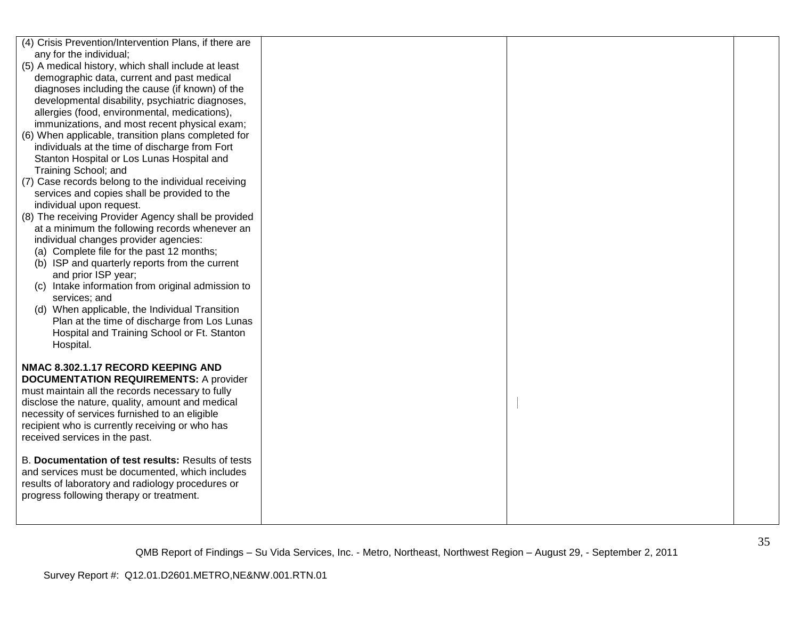| (4) Crisis Prevention/Intervention Plans, if there are |  |  |
|--------------------------------------------------------|--|--|
| any for the individual;                                |  |  |
| (5) A medical history, which shall include at least    |  |  |
| demographic data, current and past medical             |  |  |
| diagnoses including the cause (if known) of the        |  |  |
| developmental disability, psychiatric diagnoses,       |  |  |
| allergies (food, environmental, medications),          |  |  |
| immunizations, and most recent physical exam;          |  |  |
| (6) When applicable, transition plans completed for    |  |  |
| individuals at the time of discharge from Fort         |  |  |
| Stanton Hospital or Los Lunas Hospital and             |  |  |
| Training School; and                                   |  |  |
| (7) Case records belong to the individual receiving    |  |  |
| services and copies shall be provided to the           |  |  |
| individual upon request.                               |  |  |
| (8) The receiving Provider Agency shall be provided    |  |  |
| at a minimum the following records whenever an         |  |  |
| individual changes provider agencies:                  |  |  |
| (a) Complete file for the past 12 months;              |  |  |
| (b) ISP and quarterly reports from the current         |  |  |
| and prior ISP year;                                    |  |  |
| (c) Intake information from original admission to      |  |  |
| services; and                                          |  |  |
| (d) When applicable, the Individual Transition         |  |  |
| Plan at the time of discharge from Los Lunas           |  |  |
| Hospital and Training School or Ft. Stanton            |  |  |
| Hospital.                                              |  |  |
|                                                        |  |  |
| NMAC 8.302.1.17 RECORD KEEPING AND                     |  |  |
| <b>DOCUMENTATION REQUIREMENTS: A provider</b>          |  |  |
| must maintain all the records necessary to fully       |  |  |
| disclose the nature, quality, amount and medical       |  |  |
| necessity of services furnished to an eligible         |  |  |
| recipient who is currently receiving or who has        |  |  |
| received services in the past.                         |  |  |
|                                                        |  |  |
| B. Documentation of test results: Results of tests     |  |  |
| and services must be documented, which includes        |  |  |
| results of laboratory and radiology procedures or      |  |  |
| progress following therapy or treatment.               |  |  |
|                                                        |  |  |
|                                                        |  |  |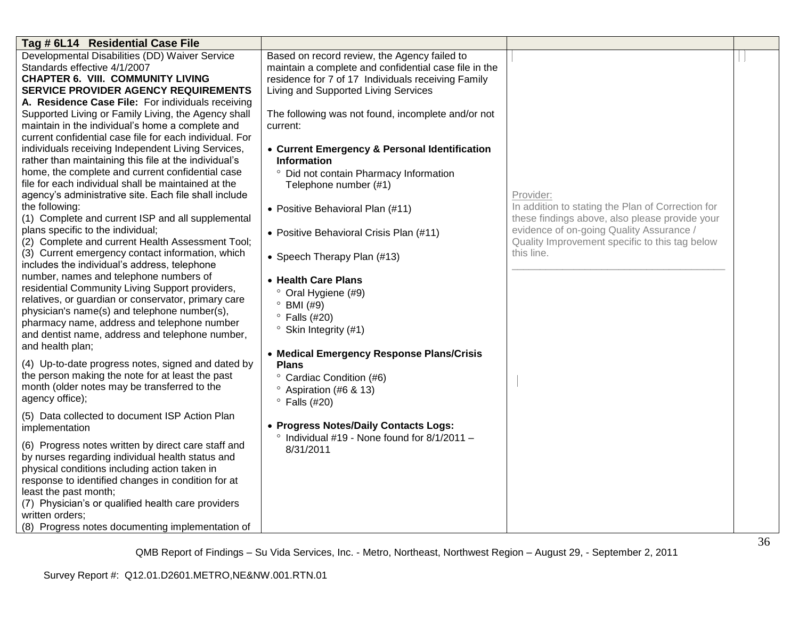| Tag # 6L14 Residential Case File                        |                                                       |                                                   |  |
|---------------------------------------------------------|-------------------------------------------------------|---------------------------------------------------|--|
| Developmental Disabilities (DD) Waiver Service          | Based on record review, the Agency failed to          |                                                   |  |
| Standards effective 4/1/2007                            | maintain a complete and confidential case file in the |                                                   |  |
| <b>CHAPTER 6. VIII. COMMUNITY LIVING</b>                | residence for 7 of 17 Individuals receiving Family    |                                                   |  |
| <b>SERVICE PROVIDER AGENCY REQUIREMENTS</b>             | Living and Supported Living Services                  |                                                   |  |
| A. Residence Case File: For individuals receiving       |                                                       |                                                   |  |
| Supported Living or Family Living, the Agency shall     | The following was not found, incomplete and/or not    |                                                   |  |
| maintain in the individual's home a complete and        | current:                                              |                                                   |  |
| current confidential case file for each individual. For |                                                       |                                                   |  |
| individuals receiving Independent Living Services,      | • Current Emergency & Personal Identification         |                                                   |  |
| rather than maintaining this file at the individual's   | <b>Information</b>                                    |                                                   |  |
| home, the complete and current confidential case        | Did not contain Pharmacy Information<br>$\circ$       |                                                   |  |
| file for each individual shall be maintained at the     | Telephone number (#1)                                 |                                                   |  |
| agency's administrative site. Each file shall include   |                                                       | Provider:                                         |  |
| the following:                                          | • Positive Behavioral Plan (#11)                      | In addition to stating the Plan of Correction for |  |
| (1) Complete and current ISP and all supplemental       |                                                       | these findings above, also please provide your    |  |
| plans specific to the individual;                       | • Positive Behavioral Crisis Plan (#11)               | evidence of on-going Quality Assurance /          |  |
| (2) Complete and current Health Assessment Tool;        |                                                       | Quality Improvement specific to this tag below    |  |
| (3) Current emergency contact information, which        | • Speech Therapy Plan (#13)                           | this line.                                        |  |
| includes the individual's address, telephone            |                                                       |                                                   |  |
| number, names and telephone numbers of                  | • Health Care Plans                                   |                                                   |  |
| residential Community Living Support providers,         | $\circ$<br>Oral Hygiene (#9)                          |                                                   |  |
| relatives, or guardian or conservator, primary care     | BMI (#9)<br>$\circ$                                   |                                                   |  |
| physician's name(s) and telephone number(s),            | $\degree$ Falls (#20)                                 |                                                   |  |
| pharmacy name, address and telephone number             | $\degree$ Skin Integrity (#1)                         |                                                   |  |
| and dentist name, address and telephone number,         |                                                       |                                                   |  |
| and health plan;                                        | • Medical Emergency Response Plans/Crisis             |                                                   |  |
| (4) Up-to-date progress notes, signed and dated by      | <b>Plans</b>                                          |                                                   |  |
| the person making the note for at least the past        | <sup>o</sup> Cardiac Condition (#6)                   |                                                   |  |
| month (older notes may be transferred to the            | <sup>o</sup> Aspiration (#6 & 13)                     |                                                   |  |
| agency office);                                         | $\degree$ Falls (#20)                                 |                                                   |  |
| (5) Data collected to document ISP Action Plan          |                                                       |                                                   |  |
| implementation                                          | • Progress Notes/Daily Contacts Logs:                 |                                                   |  |
|                                                         | $\degree$ Individual #19 - None found for 8/1/2011 -  |                                                   |  |
| (6) Progress notes written by direct care staff and     | 8/31/2011                                             |                                                   |  |
| by nurses regarding individual health status and        |                                                       |                                                   |  |
| physical conditions including action taken in           |                                                       |                                                   |  |
| response to identified changes in condition for at      |                                                       |                                                   |  |
| least the past month;                                   |                                                       |                                                   |  |
| (7) Physician's or qualified health care providers      |                                                       |                                                   |  |
| written orders;                                         |                                                       |                                                   |  |
| (8) Progress notes documenting implementation of        |                                                       |                                                   |  |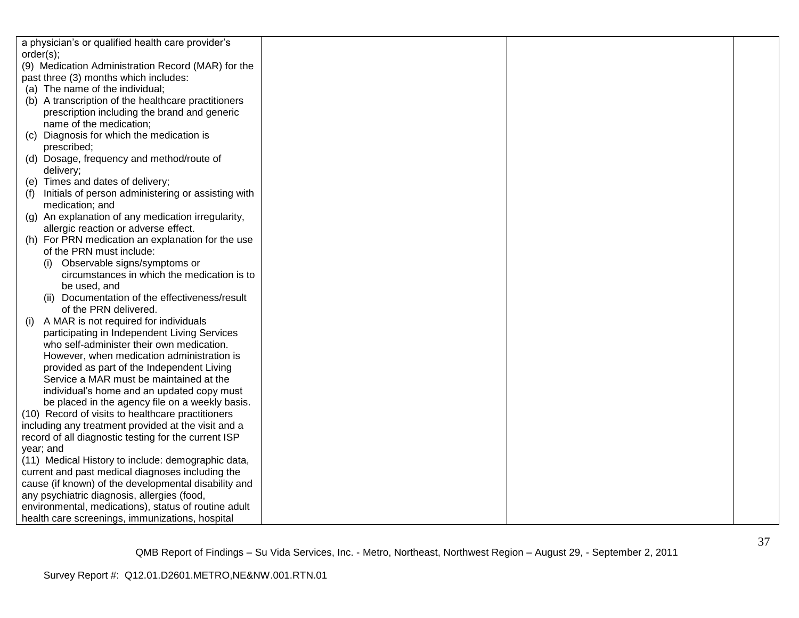| a physician's or qualified health care provider's    |  |  |
|------------------------------------------------------|--|--|
| order(s);                                            |  |  |
| (9) Medication Administration Record (MAR) for the   |  |  |
| past three (3) months which includes:                |  |  |
| (a) The name of the individual;                      |  |  |
| (b) A transcription of the healthcare practitioners  |  |  |
| prescription including the brand and generic         |  |  |
| name of the medication;                              |  |  |
| Diagnosis for which the medication is<br>(c)         |  |  |
| prescribed;                                          |  |  |
| (d) Dosage, frequency and method/route of            |  |  |
| delivery;                                            |  |  |
| (e) Times and dates of delivery;                     |  |  |
| Initials of person administering or assisting with   |  |  |
| medication; and                                      |  |  |
| (g) An explanation of any medication irregularity,   |  |  |
| allergic reaction or adverse effect.                 |  |  |
| (h) For PRN medication an explanation for the use    |  |  |
| of the PRN must include:                             |  |  |
| (i) Observable signs/symptoms or                     |  |  |
| circumstances in which the medication is to          |  |  |
| be used, and                                         |  |  |
| (ii) Documentation of the effectiveness/result       |  |  |
| of the PRN delivered.                                |  |  |
| A MAR is not required for individuals<br>(i)         |  |  |
| participating in Independent Living Services         |  |  |
| who self-administer their own medication.            |  |  |
| However, when medication administration is           |  |  |
| provided as part of the Independent Living           |  |  |
| Service a MAR must be maintained at the              |  |  |
| individual's home and an updated copy must           |  |  |
| be placed in the agency file on a weekly basis.      |  |  |
| (10) Record of visits to healthcare practitioners    |  |  |
| including any treatment provided at the visit and a  |  |  |
| record of all diagnostic testing for the current ISP |  |  |
| year; and                                            |  |  |
| (11) Medical History to include: demographic data,   |  |  |
| current and past medical diagnoses including the     |  |  |
| cause (if known) of the developmental disability and |  |  |
| any psychiatric diagnosis, allergies (food,          |  |  |
| environmental, medications), status of routine adult |  |  |
| health care screenings, immunizations, hospital      |  |  |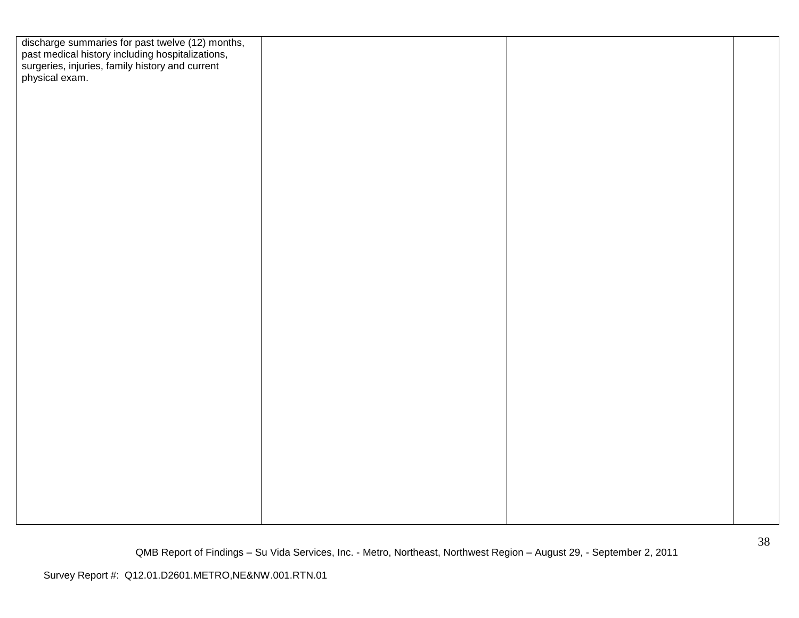| discharge summaries for past twelve (12) months,<br>past medical history including hospitalizations,<br>surgeries, injuries, family history and current<br>physical exam. |  |  |
|---------------------------------------------------------------------------------------------------------------------------------------------------------------------------|--|--|
|                                                                                                                                                                           |  |  |
|                                                                                                                                                                           |  |  |
|                                                                                                                                                                           |  |  |
|                                                                                                                                                                           |  |  |
|                                                                                                                                                                           |  |  |
|                                                                                                                                                                           |  |  |
|                                                                                                                                                                           |  |  |
|                                                                                                                                                                           |  |  |
|                                                                                                                                                                           |  |  |
|                                                                                                                                                                           |  |  |
|                                                                                                                                                                           |  |  |
|                                                                                                                                                                           |  |  |
|                                                                                                                                                                           |  |  |
|                                                                                                                                                                           |  |  |
|                                                                                                                                                                           |  |  |
|                                                                                                                                                                           |  |  |
|                                                                                                                                                                           |  |  |
|                                                                                                                                                                           |  |  |
|                                                                                                                                                                           |  |  |
|                                                                                                                                                                           |  |  |
|                                                                                                                                                                           |  |  |
|                                                                                                                                                                           |  |  |
|                                                                                                                                                                           |  |  |
|                                                                                                                                                                           |  |  |
|                                                                                                                                                                           |  |  |
|                                                                                                                                                                           |  |  |
|                                                                                                                                                                           |  |  |
|                                                                                                                                                                           |  |  |
|                                                                                                                                                                           |  |  |
|                                                                                                                                                                           |  |  |
|                                                                                                                                                                           |  |  |
|                                                                                                                                                                           |  |  |
|                                                                                                                                                                           |  |  |
|                                                                                                                                                                           |  |  |
|                                                                                                                                                                           |  |  |
|                                                                                                                                                                           |  |  |
|                                                                                                                                                                           |  |  |
|                                                                                                                                                                           |  |  |
|                                                                                                                                                                           |  |  |
|                                                                                                                                                                           |  |  |
|                                                                                                                                                                           |  |  |
|                                                                                                                                                                           |  |  |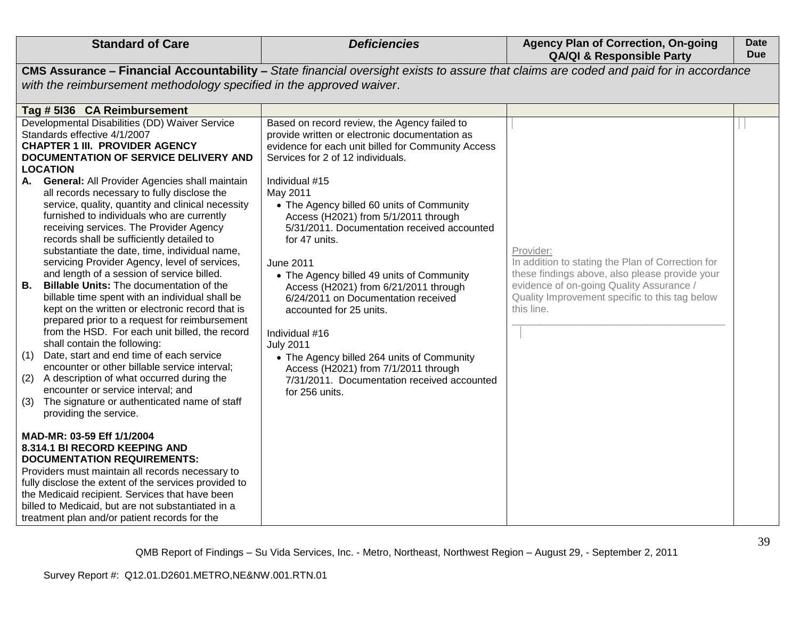| <b>Standard of Care</b>                                                                                                                                                                                                                                                                                                                                                                                                                                                                                                                                                                                                                                                                                                                                                                                                                                                                                                                                                                                                                                                                                                                                                                                                                                                                                                                                                                                                                                                                                                                                                                                              | <b>Deficiencies</b>                                                                                                                                                                                                                                                                                                                                                                                                                                                                                                                                                                                                                                                                                                                            | <b>Agency Plan of Correction, On-going</b><br><b>QA/QI &amp; Responsible Party</b>                                                                                                                                           | <b>Date</b><br><b>Due</b> |
|----------------------------------------------------------------------------------------------------------------------------------------------------------------------------------------------------------------------------------------------------------------------------------------------------------------------------------------------------------------------------------------------------------------------------------------------------------------------------------------------------------------------------------------------------------------------------------------------------------------------------------------------------------------------------------------------------------------------------------------------------------------------------------------------------------------------------------------------------------------------------------------------------------------------------------------------------------------------------------------------------------------------------------------------------------------------------------------------------------------------------------------------------------------------------------------------------------------------------------------------------------------------------------------------------------------------------------------------------------------------------------------------------------------------------------------------------------------------------------------------------------------------------------------------------------------------------------------------------------------------|------------------------------------------------------------------------------------------------------------------------------------------------------------------------------------------------------------------------------------------------------------------------------------------------------------------------------------------------------------------------------------------------------------------------------------------------------------------------------------------------------------------------------------------------------------------------------------------------------------------------------------------------------------------------------------------------------------------------------------------------|------------------------------------------------------------------------------------------------------------------------------------------------------------------------------------------------------------------------------|---------------------------|
|                                                                                                                                                                                                                                                                                                                                                                                                                                                                                                                                                                                                                                                                                                                                                                                                                                                                                                                                                                                                                                                                                                                                                                                                                                                                                                                                                                                                                                                                                                                                                                                                                      | CMS Assurance - Financial Accountability - State financial oversight exists to assure that claims are coded and paid for in accordance                                                                                                                                                                                                                                                                                                                                                                                                                                                                                                                                                                                                         |                                                                                                                                                                                                                              |                           |
| with the reimbursement methodology specified in the approved waiver.                                                                                                                                                                                                                                                                                                                                                                                                                                                                                                                                                                                                                                                                                                                                                                                                                                                                                                                                                                                                                                                                                                                                                                                                                                                                                                                                                                                                                                                                                                                                                 |                                                                                                                                                                                                                                                                                                                                                                                                                                                                                                                                                                                                                                                                                                                                                |                                                                                                                                                                                                                              |                           |
| Tag # 5136 CA Reimbursement                                                                                                                                                                                                                                                                                                                                                                                                                                                                                                                                                                                                                                                                                                                                                                                                                                                                                                                                                                                                                                                                                                                                                                                                                                                                                                                                                                                                                                                                                                                                                                                          |                                                                                                                                                                                                                                                                                                                                                                                                                                                                                                                                                                                                                                                                                                                                                |                                                                                                                                                                                                                              |                           |
| Developmental Disabilities (DD) Waiver Service<br>Standards effective 4/1/2007<br><b>CHAPTER 1 III. PROVIDER AGENCY</b><br><b>DOCUMENTATION OF SERVICE DELIVERY AND</b><br><b>LOCATION</b><br><b>General: All Provider Agencies shall maintain</b><br>А.<br>all records necessary to fully disclose the<br>service, quality, quantity and clinical necessity<br>furnished to individuals who are currently<br>receiving services. The Provider Agency<br>records shall be sufficiently detailed to<br>substantiate the date, time, individual name,<br>servicing Provider Agency, level of services,<br>and length of a session of service billed.<br><b>B.</b><br><b>Billable Units: The documentation of the</b><br>billable time spent with an individual shall be<br>kept on the written or electronic record that is<br>prepared prior to a request for reimbursement<br>from the HSD. For each unit billed, the record<br>shall contain the following:<br>Date, start and end time of each service<br>(1)<br>encounter or other billable service interval;<br>(2) A description of what occurred during the<br>encounter or service interval; and<br>The signature or authenticated name of staff<br>(3)<br>providing the service.<br>MAD-MR: 03-59 Eff 1/1/2004<br>8.314.1 BI RECORD KEEPING AND<br><b>DOCUMENTATION REQUIREMENTS:</b><br>Providers must maintain all records necessary to<br>fully disclose the extent of the services provided to<br>the Medicaid recipient. Services that have been<br>billed to Medicaid, but are not substantiated in a<br>treatment plan and/or patient records for the | Based on record review, the Agency failed to<br>provide written or electronic documentation as<br>evidence for each unit billed for Community Access<br>Services for 2 of 12 individuals.<br>Individual #15<br>May 2011<br>• The Agency billed 60 units of Community<br>Access (H2021) from 5/1/2011 through<br>5/31/2011. Documentation received accounted<br>for 47 units.<br>June 2011<br>• The Agency billed 49 units of Community<br>Access (H2021) from 6/21/2011 through<br>6/24/2011 on Documentation received<br>accounted for 25 units.<br>Individual #16<br><b>July 2011</b><br>• The Agency billed 264 units of Community<br>Access (H2021) from 7/1/2011 through<br>7/31/2011. Documentation received accounted<br>for 256 units. | Provider:<br>In addition to stating the Plan of Correction for<br>these findings above, also please provide your<br>evidence of on-going Quality Assurance /<br>Quality Improvement specific to this tag below<br>this line. |                           |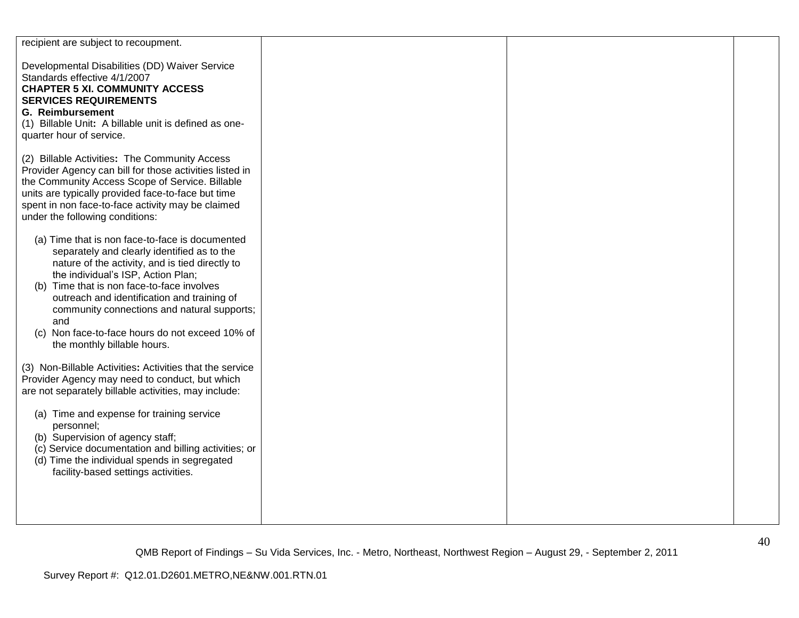| recipient are subject to recoupment.                                                                                                                                                                                                                                                                                                                                                                                            |  |  |
|---------------------------------------------------------------------------------------------------------------------------------------------------------------------------------------------------------------------------------------------------------------------------------------------------------------------------------------------------------------------------------------------------------------------------------|--|--|
| Developmental Disabilities (DD) Waiver Service<br>Standards effective 4/1/2007<br><b>CHAPTER 5 XI. COMMUNITY ACCESS</b><br><b>SERVICES REQUIREMENTS</b><br><b>G. Reimbursement</b><br>(1) Billable Unit: A billable unit is defined as one-<br>quarter hour of service.                                                                                                                                                         |  |  |
| (2) Billable Activities: The Community Access<br>Provider Agency can bill for those activities listed in<br>the Community Access Scope of Service. Billable<br>units are typically provided face-to-face but time<br>spent in non face-to-face activity may be claimed<br>under the following conditions:                                                                                                                       |  |  |
| (a) Time that is non face-to-face is documented<br>separately and clearly identified as to the<br>nature of the activity, and is tied directly to<br>the individual's ISP, Action Plan;<br>(b) Time that is non face-to-face involves<br>outreach and identification and training of<br>community connections and natural supports;<br>and<br>Non face-to-face hours do not exceed 10% of<br>(C)<br>the monthly billable hours. |  |  |
| (3) Non-Billable Activities: Activities that the service<br>Provider Agency may need to conduct, but which<br>are not separately billable activities, may include:                                                                                                                                                                                                                                                              |  |  |
| (a) Time and expense for training service<br>personnel;<br>(b) Supervision of agency staff;<br>(c) Service documentation and billing activities; or<br>(d) Time the individual spends in segregated<br>facility-based settings activities.                                                                                                                                                                                      |  |  |
|                                                                                                                                                                                                                                                                                                                                                                                                                                 |  |  |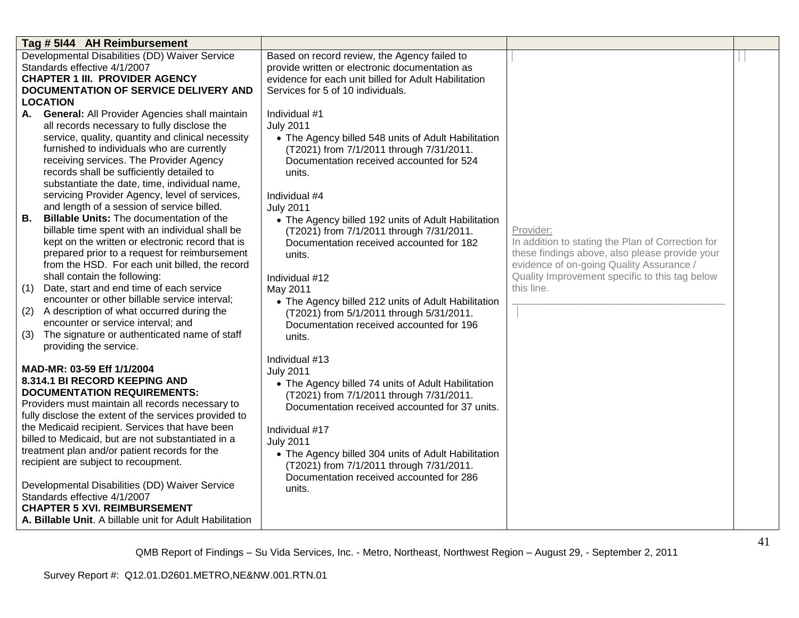| Tag # 5144 AH Reimbursement                                                                     |                                                                                            |                                                   |  |
|-------------------------------------------------------------------------------------------------|--------------------------------------------------------------------------------------------|---------------------------------------------------|--|
| Developmental Disabilities (DD) Waiver Service                                                  | Based on record review, the Agency failed to                                               |                                                   |  |
| Standards effective 4/1/2007                                                                    | provide written or electronic documentation as                                             |                                                   |  |
| <b>CHAPTER 1 III. PROVIDER AGENCY</b>                                                           | evidence for each unit billed for Adult Habilitation                                       |                                                   |  |
| DOCUMENTATION OF SERVICE DELIVERY AND                                                           | Services for 5 of 10 individuals.                                                          |                                                   |  |
| <b>LOCATION</b>                                                                                 |                                                                                            |                                                   |  |
| <b>General: All Provider Agencies shall maintain</b><br>А.                                      | Individual #1                                                                              |                                                   |  |
| all records necessary to fully disclose the                                                     | <b>July 2011</b>                                                                           |                                                   |  |
| service, quality, quantity and clinical necessity<br>furnished to individuals who are currently | • The Agency billed 548 units of Adult Habilitation                                        |                                                   |  |
| receiving services. The Provider Agency                                                         | (T2021) from 7/1/2011 through 7/31/2011.<br>Documentation received accounted for 524       |                                                   |  |
| records shall be sufficiently detailed to                                                       | units.                                                                                     |                                                   |  |
| substantiate the date, time, individual name,                                                   |                                                                                            |                                                   |  |
| servicing Provider Agency, level of services,                                                   | Individual #4                                                                              |                                                   |  |
| and length of a session of service billed.                                                      | <b>July 2011</b>                                                                           |                                                   |  |
| В.<br><b>Billable Units:</b> The documentation of the                                           | • The Agency billed 192 units of Adult Habilitation                                        |                                                   |  |
| billable time spent with an individual shall be                                                 | (T2021) from 7/1/2011 through 7/31/2011.                                                   | Provider:                                         |  |
| kept on the written or electronic record that is                                                | Documentation received accounted for 182                                                   | In addition to stating the Plan of Correction for |  |
| prepared prior to a request for reimbursement                                                   | units.                                                                                     | these findings above, also please provide your    |  |
| from the HSD. For each unit billed, the record                                                  |                                                                                            | evidence of on-going Quality Assurance /          |  |
| shall contain the following:                                                                    | Individual #12                                                                             | Quality Improvement specific to this tag below    |  |
| Date, start and end time of each service<br>(1)                                                 | May 2011                                                                                   | this line.                                        |  |
| encounter or other billable service interval;                                                   | • The Agency billed 212 units of Adult Habilitation                                        |                                                   |  |
| A description of what occurred during the<br>(2)                                                | (T2021) from 5/1/2011 through 5/31/2011.                                                   |                                                   |  |
| encounter or service interval; and                                                              | Documentation received accounted for 196                                                   |                                                   |  |
| The signature or authenticated name of staff<br>(3)                                             | units.                                                                                     |                                                   |  |
| providing the service.                                                                          |                                                                                            |                                                   |  |
| MAD-MR: 03-59 Eff 1/1/2004                                                                      | Individual #13                                                                             |                                                   |  |
| 8.314.1 BI RECORD KEEPING AND                                                                   | <b>July 2011</b>                                                                           |                                                   |  |
| <b>DOCUMENTATION REQUIREMENTS:</b>                                                              | • The Agency billed 74 units of Adult Habilitation                                         |                                                   |  |
| Providers must maintain all records necessary to                                                | (T2021) from 7/1/2011 through 7/31/2011.<br>Documentation received accounted for 37 units. |                                                   |  |
| fully disclose the extent of the services provided to                                           |                                                                                            |                                                   |  |
| the Medicaid recipient. Services that have been                                                 | Individual #17                                                                             |                                                   |  |
| billed to Medicaid, but are not substantiated in a                                              | <b>July 2011</b>                                                                           |                                                   |  |
| treatment plan and/or patient records for the                                                   | • The Agency billed 304 units of Adult Habilitation                                        |                                                   |  |
| recipient are subject to recoupment.                                                            | (T2021) from 7/1/2011 through 7/31/2011.                                                   |                                                   |  |
|                                                                                                 | Documentation received accounted for 286                                                   |                                                   |  |
| Developmental Disabilities (DD) Waiver Service                                                  | units.                                                                                     |                                                   |  |
| Standards effective 4/1/2007                                                                    |                                                                                            |                                                   |  |
| <b>CHAPTER 5 XVI. REIMBURSEMENT</b>                                                             |                                                                                            |                                                   |  |
| A. Billable Unit. A billable unit for Adult Habilitation                                        |                                                                                            |                                                   |  |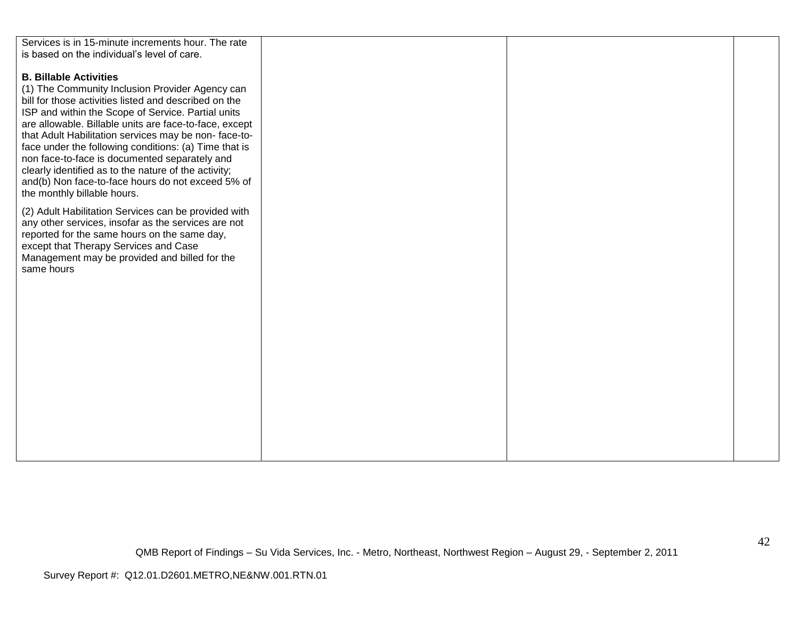| Services is in 15-minute increments hour. The rate<br>is based on the individual's level of care.                                                                                                                                                                                                                                                                                                                                                                                                                                                                       |  |  |
|-------------------------------------------------------------------------------------------------------------------------------------------------------------------------------------------------------------------------------------------------------------------------------------------------------------------------------------------------------------------------------------------------------------------------------------------------------------------------------------------------------------------------------------------------------------------------|--|--|
| <b>B. Billable Activities</b><br>(1) The Community Inclusion Provider Agency can<br>bill for those activities listed and described on the<br>ISP and within the Scope of Service. Partial units<br>are allowable. Billable units are face-to-face, except<br>that Adult Habilitation services may be non-face-to-<br>face under the following conditions: (a) Time that is<br>non face-to-face is documented separately and<br>clearly identified as to the nature of the activity;<br>and(b) Non face-to-face hours do not exceed 5% of<br>the monthly billable hours. |  |  |
| (2) Adult Habilitation Services can be provided with<br>any other services, insofar as the services are not<br>reported for the same hours on the same day,<br>except that Therapy Services and Case<br>Management may be provided and billed for the<br>same hours                                                                                                                                                                                                                                                                                                     |  |  |
|                                                                                                                                                                                                                                                                                                                                                                                                                                                                                                                                                                         |  |  |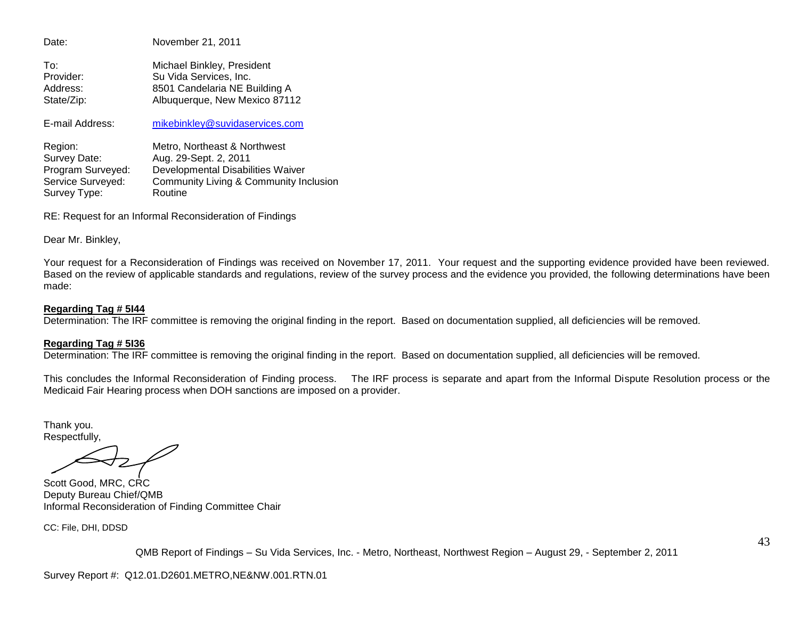Date: November 21, 2011 To: Michael Binkley, President Provider: Su Vida Services, Inc. Address: 8501 Candelaria NE Building A State/Zip: Albuquerque, New Mexico 87112 E-mail Address: [mikebinkley@suvidaservices.com](mailto:mikebinkley@suvidaservices.com) Region: Metro, Northeast & Northwest Survey Date: Aug. 29-Sept. 2, 2011 Program Surveyed: Developmental Disabilities Waiver<br>Service Surveyed: Community Living & Community In Community Living & Community Inclusion

RE: Request for an Informal Reconsideration of Findings

Dear Mr. Binkley,

Survey Type: Routine

Your request for a Reconsideration of Findings was received on November 17, 2011. Your request and the supporting evidence provided have been reviewed. Based on the review of applicable standards and regulations, review of the survey process and the evidence you provided, the following determinations have been made:

#### **Regarding Tag # 5I44**

Determination: The IRF committee is removing the original finding in the report. Based on documentation supplied, all deficiencies will be removed.

#### **Regarding Tag # 5I36**

Determination: The IRF committee is removing the original finding in the report. Based on documentation supplied, all deficiencies will be removed.

This concludes the Informal Reconsideration of Finding process. The IRF process is separate and apart from the Informal Dispute Resolution process or the Medicaid Fair Hearing process when DOH sanctions are imposed on a provider.

Thank you. Respectfully,

Scott Good, MRC, CRC Deputy Bureau Chief/QMB Informal Reconsideration of Finding Committee Chair

CC: File, DHI, DDSD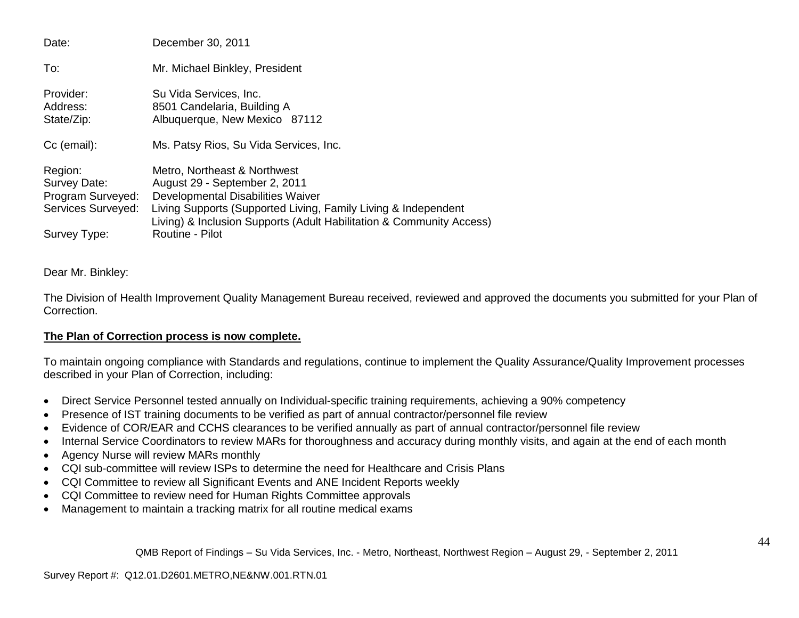| Date:                                                              | December 30, 2011                                                                                                                                                                                                                            |
|--------------------------------------------------------------------|----------------------------------------------------------------------------------------------------------------------------------------------------------------------------------------------------------------------------------------------|
| To:                                                                | Mr. Michael Binkley, President                                                                                                                                                                                                               |
| Provider:<br>Address:<br>State/Zip:                                | Su Vida Services, Inc.<br>8501 Candelaria, Building A<br>Albuquerque, New Mexico 87112                                                                                                                                                       |
| Cc (email):                                                        | Ms. Patsy Rios, Su Vida Services, Inc.                                                                                                                                                                                                       |
| Region:<br>Survey Date:<br>Program Surveyed:<br>Services Surveyed: | Metro, Northeast & Northwest<br>August 29 - September 2, 2011<br>Developmental Disabilities Waiver<br>Living Supports (Supported Living, Family Living & Independent<br>Living) & Inclusion Supports (Adult Habilitation & Community Access) |
| Survey Type:                                                       | Routine - Pilot                                                                                                                                                                                                                              |

Dear Mr. Binkley:

The Division of Health Improvement Quality Management Bureau received, reviewed and approved the documents you submitted for your Plan of Correction.

# **The Plan of Correction process is now complete.**

To maintain ongoing compliance with Standards and regulations, continue to implement the Quality Assurance/Quality Improvement processes described in your Plan of Correction, including:

- Direct Service Personnel tested annually on Individual-specific training requirements, achieving a 90% competency
- Presence of IST training documents to be verified as part of annual contractor/personnel file review
- Evidence of COR/EAR and CCHS clearances to be verified annually as part of annual contractor/personnel file review
- Internal Service Coordinators to review MARs for thoroughness and accuracy during monthly visits, and again at the end of each month
- Agency Nurse will review MARs monthly
- CQI sub-committee will review ISPs to determine the need for Healthcare and Crisis Plans
- CQI Committee to review all Significant Events and ANE Incident Reports weekly
- CQI Committee to review need for Human Rights Committee approvals
- Management to maintain a tracking matrix for all routine medical exams